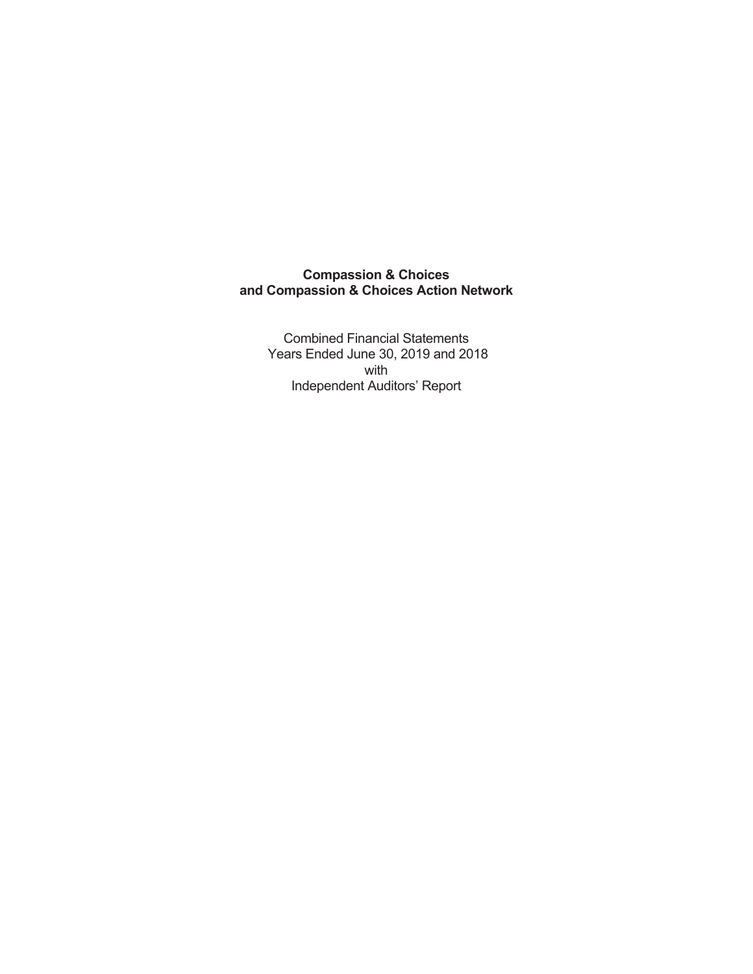**Combined Financial Statements** Years Ended June 30, 2019 and 2018 with Independent Auditors' Report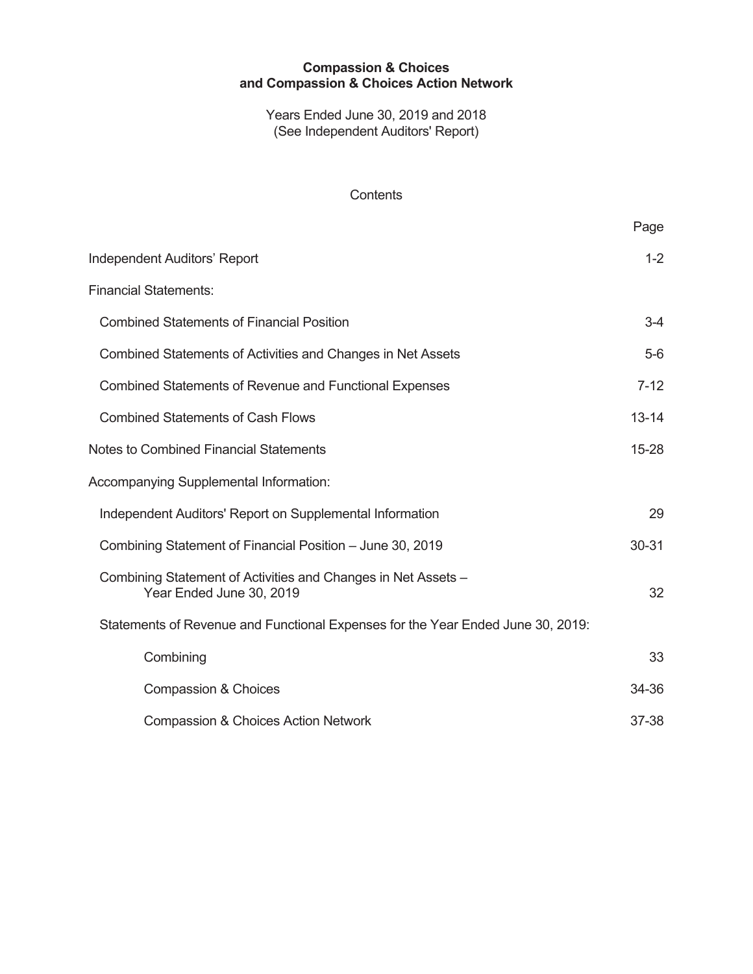Years Ended June 30, 2019 and 2018 (See Independent Auditors' Report)

### Contents

|                                                                                           | Page      |
|-------------------------------------------------------------------------------------------|-----------|
| <b>Independent Auditors' Report</b>                                                       | $1 - 2$   |
| <b>Financial Statements:</b>                                                              |           |
| <b>Combined Statements of Financial Position</b>                                          | $3-4$     |
| Combined Statements of Activities and Changes in Net Assets                               | $5-6$     |
| <b>Combined Statements of Revenue and Functional Expenses</b>                             | $7 - 12$  |
| <b>Combined Statements of Cash Flows</b>                                                  | $13 - 14$ |
| Notes to Combined Financial Statements                                                    | $15 - 28$ |
| Accompanying Supplemental Information:                                                    |           |
| Independent Auditors' Report on Supplemental Information                                  | 29        |
| Combining Statement of Financial Position - June 30, 2019                                 | 30-31     |
| Combining Statement of Activities and Changes in Net Assets -<br>Year Ended June 30, 2019 | 32        |
| Statements of Revenue and Functional Expenses for the Year Ended June 30, 2019:           |           |
| Combining                                                                                 | 33        |
| <b>Compassion &amp; Choices</b>                                                           | 34-36     |
| <b>Compassion &amp; Choices Action Network</b>                                            | 37-38     |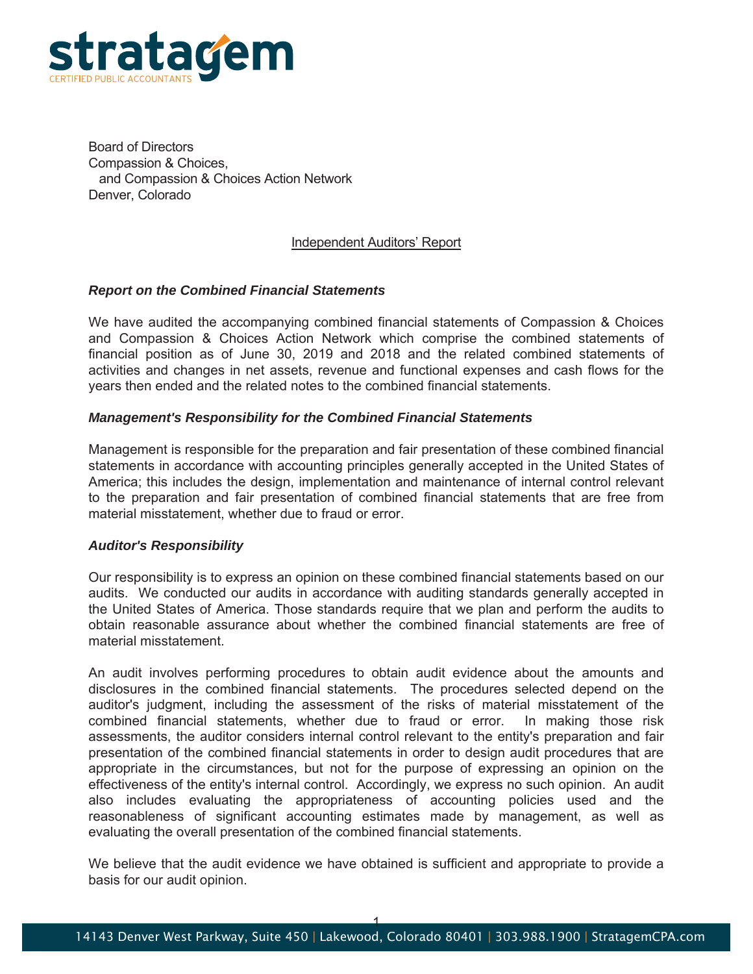

**Board of Directors** Compassion & Choices, and Compassion & Choices Action Network Denver, Colorado

#### Independent Auditors' Report

#### *Report on the Combined Financial Statements*

We have audited the accompanying combined financial statements of Compassion & Choices and Compassion & Choices Action Network which comprise the combined statements of financial position as of June 30, 2019 and 2018 and the related combined statements of activities and changes in net assets, revenue and functional expenses and cash flows for the years then ended and the related notes to the combined financial statements.

#### *Management's Responsibility for the Combined Financial Statements*

Management is responsible for the preparation and fair presentation of these combined financial statements in accordance with accounting principles generally accepted in the United States of America; this includes the design, implementation and maintenance of internal control relevant to the preparation and fair presentation of combined financial statements that are free from material misstatement, whether due to fraud or error.

#### *Auditor's Responsibility*

Our responsibility is to express an opinion on these combined financial statements based on our audits. We conducted our audits in accordance with auditing standards generally accepted in the United States of America. Those standards require that we plan and perform the audits to obtain reasonable assurance about whether the combined financial statements are free of material misstatement.

An audit involves performing procedures to obtain audit evidence about the amounts and disclosures in the combined financial statements. The procedures selected depend on the auditor's judgment, including the assessment of the risks of material misstatement of the combined financial statements, whether due to fraud or error. In making those risk assessments, the auditor considers internal control relevant to the entity's preparation and fair presentation of the combined financial statements in order to design audit procedures that are appropriate in the circumstances, but not for the purpose of expressing an opinion on the effectiveness of the entity's internal control. Accordingly, we express no such opinion. An audit also includes evaluating the appropriateness of accounting policies used and the reasonableness of significant accounting estimates made by management, as well as evaluating the overall presentation of the combined financial statements.

We believe that the audit evidence we have obtained is sufficient and appropriate to provide a basis for our audit opinion.

 $\ddagger$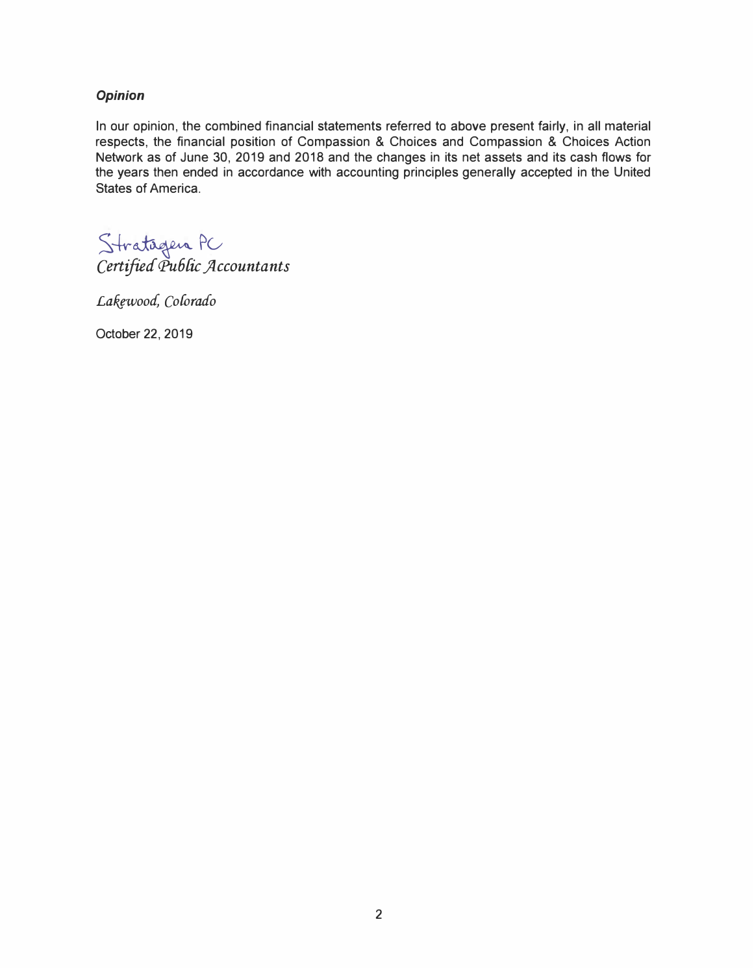### *Opinion*

In our opinion, the combined financial statements referred to above present fairly, in all material respects, the financial position of Compassion & Choices and Compassion & Choices Action Network as of June 30, 2019 and 2018 and the changes in its net assets and its cash flows for the years then ended in accordance with accounting principles generally accepted in the United States of America.

Stratagen PC *Certified" <Pu6{ic jlccountants* 

Lakewood, Colorado

October 22, 2019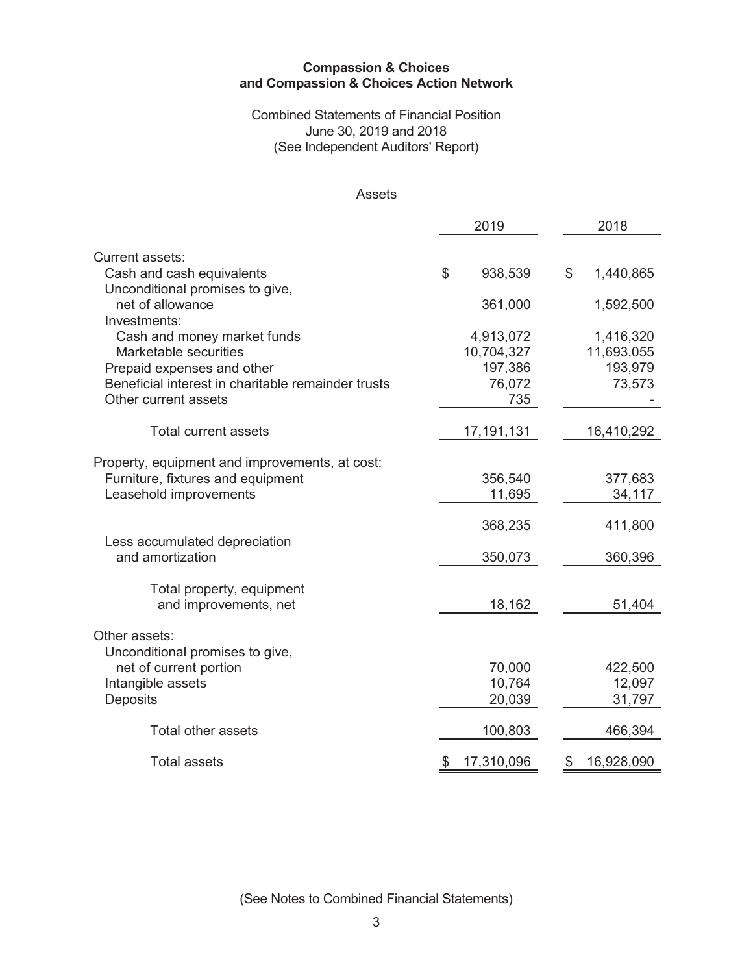### **Combined Statements of Financial Position** June 30, 2019 and 2018 (See Independent Auditors' Report)

# Assets

|                                                      | 2019 |                       |    | 2018                  |
|------------------------------------------------------|------|-----------------------|----|-----------------------|
|                                                      |      |                       |    |                       |
| Current assets:<br>Cash and cash equivalents         | \$   | 938,539               | \$ | 1,440,865             |
| Unconditional promises to give,<br>net of allowance  |      | 361,000               |    | 1,592,500             |
| Investments:                                         |      |                       |    |                       |
| Cash and money market funds<br>Marketable securities |      | 4,913,072             |    | 1,416,320             |
| Prepaid expenses and other                           |      | 10,704,327<br>197,386 |    | 11,693,055<br>193,979 |
| Beneficial interest in charitable remainder trusts   |      | 76,072                |    | 73,573                |
| Other current assets                                 |      | 735                   |    |                       |
| <b>Total current assets</b>                          |      | 17,191,131            |    | 16,410,292            |
|                                                      |      |                       |    |                       |
| Property, equipment and improvements, at cost:       |      |                       |    |                       |
| Furniture, fixtures and equipment                    |      | 356,540               |    | 377,683               |
| Leasehold improvements                               |      | 11,695                |    | 34,117                |
|                                                      |      | 368,235               |    | 411,800               |
| Less accumulated depreciation                        |      |                       |    |                       |
| and amortization                                     |      | 350,073               |    | 360,396               |
| Total property, equipment                            |      |                       |    |                       |
| and improvements, net                                |      | 18,162                |    | 51,404                |
|                                                      |      |                       |    |                       |
| Other assets:                                        |      |                       |    |                       |
| Unconditional promises to give,                      |      |                       |    |                       |
| net of current portion                               |      | 70,000                |    | 422,500               |
| Intangible assets                                    |      | 10,764                |    | 12,097                |
| Deposits                                             |      | 20,039                |    | 31,797                |
| <b>Total other assets</b>                            |      | 100,803               |    | 466,394               |
| <b>Total assets</b>                                  | \$   | 17,310,096            | \$ | 16,928,090            |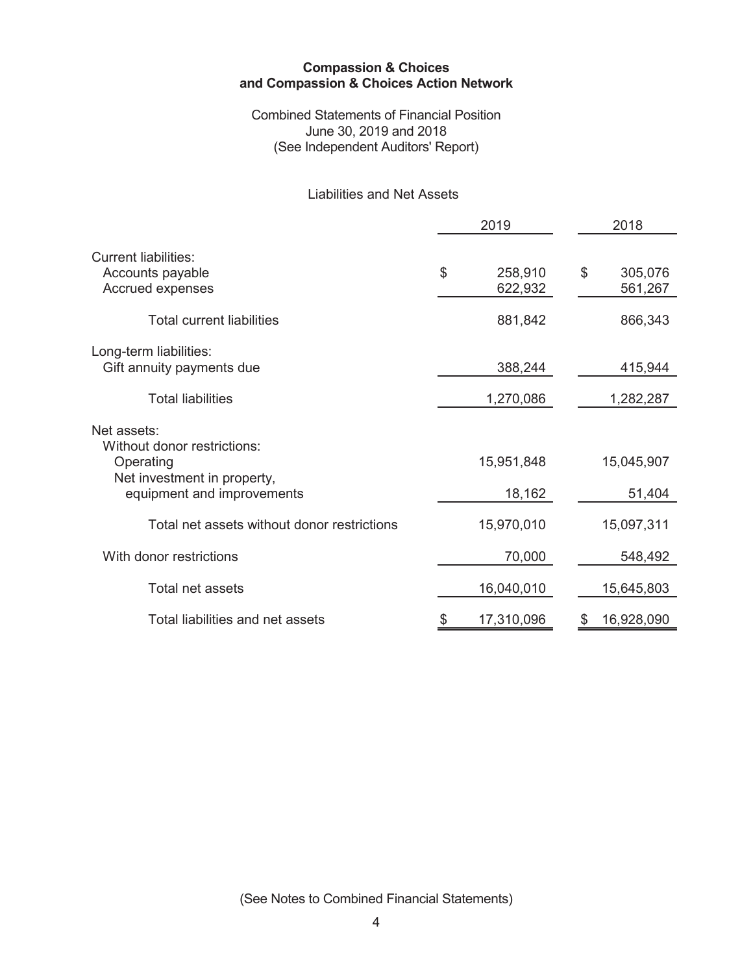**Combined Statements of Financial Position** June 30, 2019 and 2018 (See Independent Auditors' Report)

# **Liabilities and Net Assets**

|                                                                                                                      | 2019                     | 2018                     |
|----------------------------------------------------------------------------------------------------------------------|--------------------------|--------------------------|
| Current liabilities:<br>Accounts payable<br>Accrued expenses                                                         | \$<br>258,910<br>622,932 | \$<br>305,076<br>561,267 |
| <b>Total current liabilities</b>                                                                                     | 881,842                  | 866,343                  |
| Long-term liabilities:<br>Gift annuity payments due                                                                  | 388,244                  | 415,944                  |
| <b>Total liabilities</b>                                                                                             | 1,270,086                | 1,282,287                |
| Net assets:<br>Without donor restrictions:<br>Operating<br>Net investment in property,<br>equipment and improvements | 15,951,848<br>18,162     | 15,045,907<br>51,404     |
| Total net assets without donor restrictions                                                                          | 15,970,010               | 15,097,311               |
| With donor restrictions                                                                                              | 70,000                   | 548,492                  |
| Total net assets                                                                                                     | 16,040,010               | 15,645,803               |
| Total liabilities and net assets                                                                                     | 17,310,096               | \$<br>16,928,090         |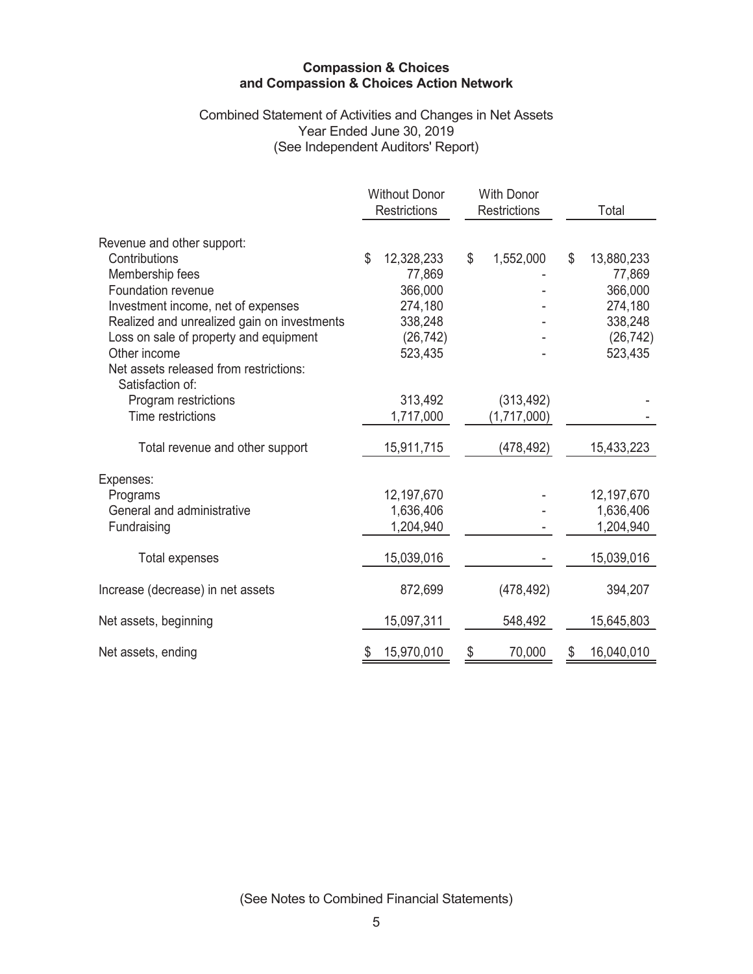# Combined Statement of Activities and Changes in Net Assets<br>Year Ended June 30, 2019 (See Independent Auditors' Report)

|                                                            | <b>Without Donor</b><br><b>Restrictions</b> |            | <b>With Donor</b><br><b>Restrictions</b> |    | Total      |
|------------------------------------------------------------|---------------------------------------------|------------|------------------------------------------|----|------------|
| Revenue and other support:                                 |                                             |            |                                          |    |            |
| Contributions                                              | \$                                          | 12,328,233 | \$<br>1,552,000                          | \$ | 13,880,233 |
| Membership fees                                            |                                             | 77,869     |                                          |    | 77,869     |
| Foundation revenue                                         |                                             | 366,000    |                                          |    | 366,000    |
| Investment income, net of expenses                         |                                             | 274,180    |                                          |    | 274,180    |
| Realized and unrealized gain on investments                |                                             | 338,248    |                                          |    | 338,248    |
| Loss on sale of property and equipment                     |                                             | (26, 742)  |                                          |    | (26, 742)  |
| Other income                                               |                                             | 523,435    |                                          |    | 523,435    |
| Net assets released from restrictions:<br>Satisfaction of: |                                             |            |                                          |    |            |
| Program restrictions                                       |                                             | 313,492    | (313, 492)                               |    |            |
| Time restrictions                                          |                                             | 1,717,000  | (1,717,000)                              |    |            |
| Total revenue and other support                            |                                             | 15,911,715 | (478, 492)                               |    | 15,433,223 |
| Expenses:                                                  |                                             |            |                                          |    |            |
| Programs                                                   |                                             | 12,197,670 |                                          |    | 12,197,670 |
| General and administrative                                 |                                             | 1,636,406  |                                          |    | 1,636,406  |
| Fundraising                                                |                                             | 1,204,940  |                                          |    | 1,204,940  |
| Total expenses                                             |                                             | 15,039,016 |                                          |    | 15,039,016 |
| Increase (decrease) in net assets                          |                                             | 872,699    | (478, 492)                               |    | 394,207    |
| Net assets, beginning                                      |                                             | 15,097,311 | 548,492                                  |    | 15,645,803 |
| Net assets, ending                                         |                                             | 15,970,010 | \$<br>70,000                             | S  | 16,040,010 |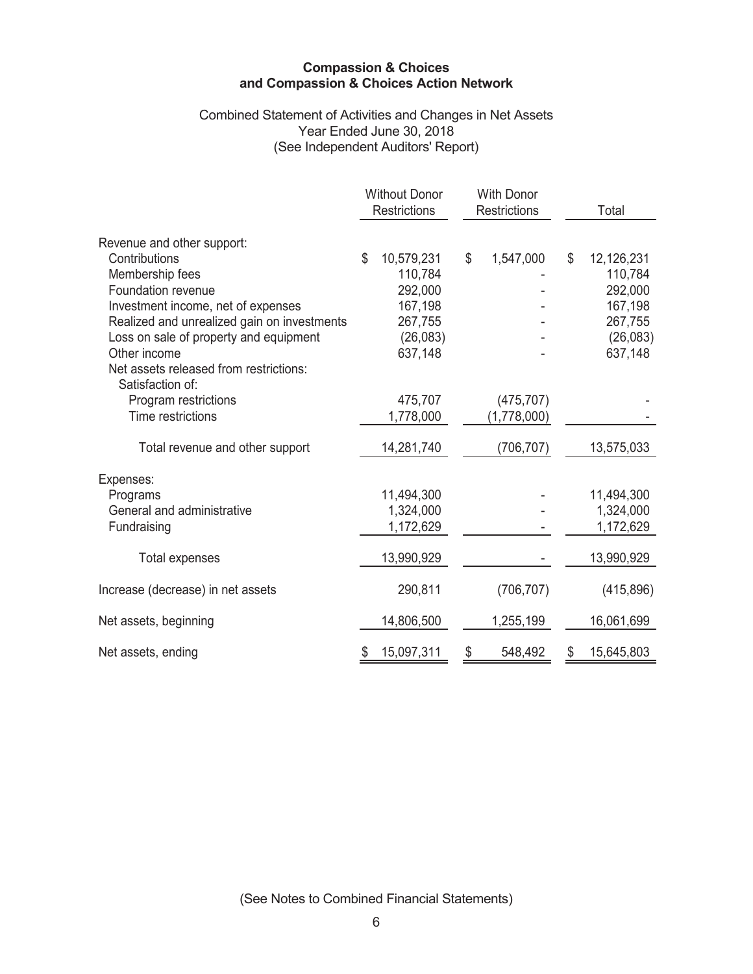# Combined Statement of Activities and Changes in Net Assets<br>Year Ended June 30, 2018 (See Independent Auditors' Report)

|                                                        | <b>Without Donor</b><br><b>Restrictions</b> | <b>With Donor</b><br><b>Restrictions</b> |             | Total            |
|--------------------------------------------------------|---------------------------------------------|------------------------------------------|-------------|------------------|
| Revenue and other support:                             |                                             |                                          |             |                  |
| Contributions                                          | \$<br>10,579,231                            | \$                                       | 1,547,000   | \$<br>12,126,231 |
| Membership fees                                        | 110,784                                     |                                          |             | 110,784          |
| Foundation revenue                                     | 292,000                                     |                                          |             | 292,000          |
| Investment income, net of expenses                     | 167,198                                     |                                          |             | 167,198          |
| Realized and unrealized gain on investments            | 267,755                                     |                                          |             | 267,755          |
| Loss on sale of property and equipment                 | (26,083)                                    |                                          |             | (26,083)         |
| Other income<br>Net assets released from restrictions: | 637,148                                     |                                          |             | 637,148          |
| Satisfaction of:                                       |                                             |                                          |             |                  |
| Program restrictions                                   | 475,707                                     |                                          | (475, 707)  |                  |
| Time restrictions                                      | 1,778,000                                   |                                          | (1,778,000) |                  |
| Total revenue and other support                        | 14,281,740                                  |                                          | (706, 707)  | 13,575,033       |
| Expenses:                                              |                                             |                                          |             |                  |
| Programs                                               | 11,494,300                                  |                                          |             | 11,494,300       |
| General and administrative                             | 1,324,000                                   |                                          |             | 1,324,000        |
| Fundraising                                            | 1,172,629                                   |                                          |             | 1,172,629        |
| <b>Total expenses</b>                                  | 13,990,929                                  |                                          |             | 13,990,929       |
| Increase (decrease) in net assets                      | 290,811                                     |                                          | (706, 707)  | (415,896)        |
| Net assets, beginning                                  | 14,806,500                                  |                                          | 1,255,199   | 16,061,699       |
| Net assets, ending                                     | 15,097,311                                  | \$                                       | 548,492     | 15,645,803       |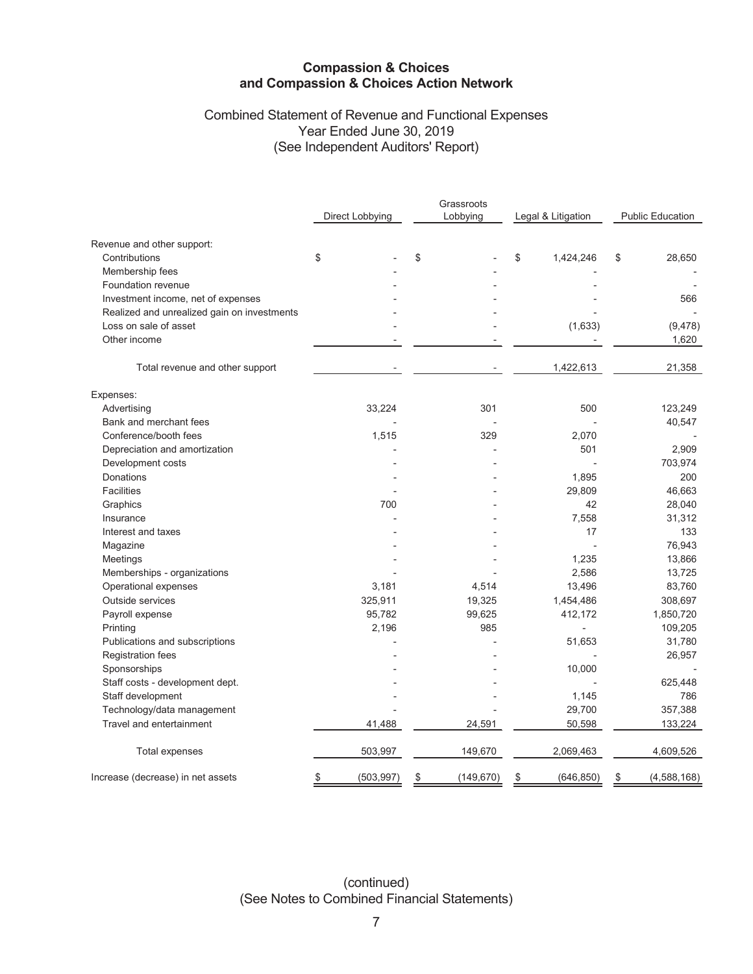# Combined Statement of Revenue and Functional Expenses Year Ended June 30, 2019 (See Independent Auditors' Report)

|                                             | Direct Lobbying  | Grassroots<br>Lobbying | Legal & Litigation | <b>Public Education</b> |
|---------------------------------------------|------------------|------------------------|--------------------|-------------------------|
| Revenue and other support:                  |                  |                        |                    |                         |
| Contributions                               | \$               | \$                     | \$<br>1,424,246    | \$<br>28,650            |
| Membership fees                             |                  |                        |                    |                         |
| Foundation revenue                          |                  |                        |                    |                         |
| Investment income, net of expenses          |                  |                        |                    | 566                     |
| Realized and unrealized gain on investments |                  |                        |                    |                         |
| Loss on sale of asset                       |                  |                        | (1,633)            | (9, 478)                |
| Other income                                |                  |                        |                    | 1,620                   |
| Total revenue and other support             |                  |                        | 1,422,613          | 21,358                  |
| Expenses:                                   |                  |                        |                    |                         |
| Advertising                                 | 33,224           | 301                    | 500                | 123,249                 |
| Bank and merchant fees                      |                  |                        |                    | 40,547                  |
| Conference/booth fees                       | 1,515            | 329                    | 2,070              |                         |
| Depreciation and amortization               |                  |                        | 501                | 2,909                   |
| Development costs                           |                  |                        |                    | 703,974                 |
| Donations                                   |                  |                        | 1,895              | 200                     |
| <b>Facilities</b>                           |                  |                        | 29,809             | 46,663                  |
| Graphics                                    | 700              |                        | 42                 | 28,040                  |
| Insurance                                   |                  |                        | 7,558              | 31,312                  |
| Interest and taxes                          |                  |                        | 17                 | 133                     |
| Magazine                                    |                  |                        |                    | 76,943                  |
| Meetings                                    |                  |                        | 1,235              | 13,866                  |
| Memberships - organizations                 |                  |                        | 2,586              | 13,725                  |
| Operational expenses                        | 3,181            | 4,514                  | 13,496             | 83,760                  |
| Outside services                            | 325,911          | 19,325                 | 1,454,486          | 308,697                 |
| Payroll expense                             | 95,782           | 99,625                 | 412,172            | 1,850,720               |
| Printing                                    | 2,196            | 985                    | L.                 | 109,205                 |
| Publications and subscriptions              |                  |                        | 51,653             | 31,780                  |
| Registration fees                           |                  |                        |                    | 26,957                  |
| Sponsorships                                |                  |                        | 10,000             |                         |
| Staff costs - development dept.             |                  |                        |                    | 625,448                 |
| Staff development                           |                  |                        | 1,145              | 786                     |
| Technology/data management                  |                  |                        | 29,700             | 357,388                 |
| Travel and entertainment                    | 41,488           | 24,591                 | 50,598             | 133,224                 |
| <b>Total expenses</b>                       | 503,997          | 149,670                | 2,069,463          | 4,609,526               |
| Increase (decrease) in net assets           | (503, 997)<br>\$ | (149, 670)<br>\$       | (646, 850)<br>\$   | (4,588,168)<br>\$       |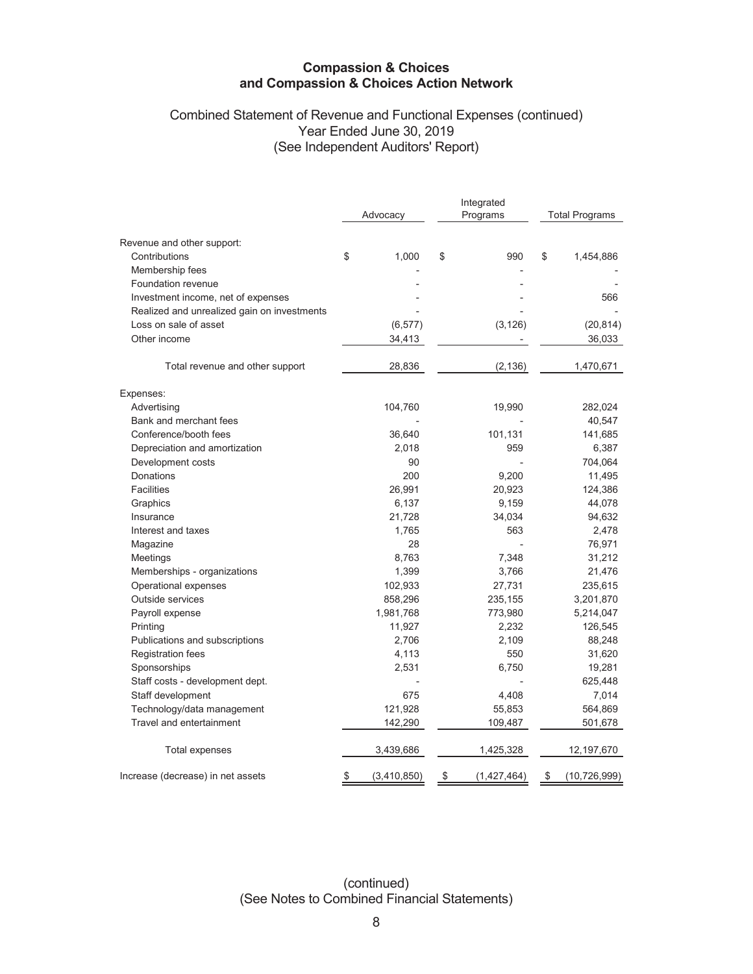# Combined Statement of Revenue and Functional Expenses (continued) Year Ended June 30, 2019 (See Independent Auditors' Report)

|                                             | Advocacy          | Integrated<br>Programs | <b>Total Programs</b> |                |  |
|---------------------------------------------|-------------------|------------------------|-----------------------|----------------|--|
| Revenue and other support:                  |                   |                        |                       |                |  |
| Contributions                               | \$<br>1,000       | \$<br>990              | \$                    | 1,454,886      |  |
| Membership fees                             |                   |                        |                       |                |  |
| Foundation revenue                          |                   |                        |                       |                |  |
| Investment income, net of expenses          |                   |                        |                       | 566            |  |
| Realized and unrealized gain on investments |                   |                        |                       |                |  |
| Loss on sale of asset                       | (6, 577)          | (3, 126)               |                       | (20, 814)      |  |
| Other income                                | 34,413            |                        |                       | 36,033         |  |
| Total revenue and other support             | 28,836            | (2, 136)               |                       | 1,470,671      |  |
| Expenses:                                   |                   |                        |                       |                |  |
| Advertising                                 | 104,760           | 19,990                 |                       | 282,024        |  |
| Bank and merchant fees                      |                   |                        |                       | 40,547         |  |
| Conference/booth fees                       | 36,640            | 101,131                |                       | 141,685        |  |
| Depreciation and amortization               | 2,018             | 959                    |                       | 6,387          |  |
| Development costs                           | 90                |                        |                       | 704,064        |  |
| Donations                                   | 200               | 9,200                  |                       | 11,495         |  |
| <b>Facilities</b>                           | 26,991            | 20,923                 |                       | 124,386        |  |
| Graphics                                    | 6,137             | 9,159                  |                       | 44,078         |  |
| Insurance                                   | 21,728            | 34,034                 |                       | 94,632         |  |
| Interest and taxes                          | 1,765             | 563                    |                       | 2,478          |  |
| Magazine                                    | 28                |                        |                       | 76,971         |  |
| Meetings                                    | 8,763             | 7,348                  |                       | 31,212         |  |
| Memberships - organizations                 | 1,399             | 3,766                  |                       | 21,476         |  |
| Operational expenses                        | 102,933           | 27,731                 |                       | 235,615        |  |
| Outside services                            | 858,296           | 235,155                |                       | 3,201,870      |  |
| Payroll expense                             | 1,981,768         | 773,980                |                       | 5,214,047      |  |
| Printing                                    | 11,927            | 2,232                  |                       | 126,545        |  |
| Publications and subscriptions              | 2,706             | 2,109                  |                       | 88,248         |  |
| <b>Registration fees</b>                    | 4,113             | 550                    |                       | 31,620         |  |
| Sponsorships                                | 2,531             | 6,750                  |                       | 19,281         |  |
| Staff costs - development dept.             |                   |                        |                       | 625,448        |  |
| Staff development                           | 675               | 4,408                  |                       | 7,014          |  |
| Technology/data management                  | 121,928           | 55,853                 |                       | 564,869        |  |
| Travel and entertainment                    | 142,290           | 109,487                |                       | 501,678        |  |
| Total expenses                              | 3,439,686         | 1,425,328              |                       | 12, 197, 670   |  |
| Increase (decrease) in net assets           | \$<br>(3,410,850) | \$<br>(1,427,464)      | \$                    | (10, 726, 999) |  |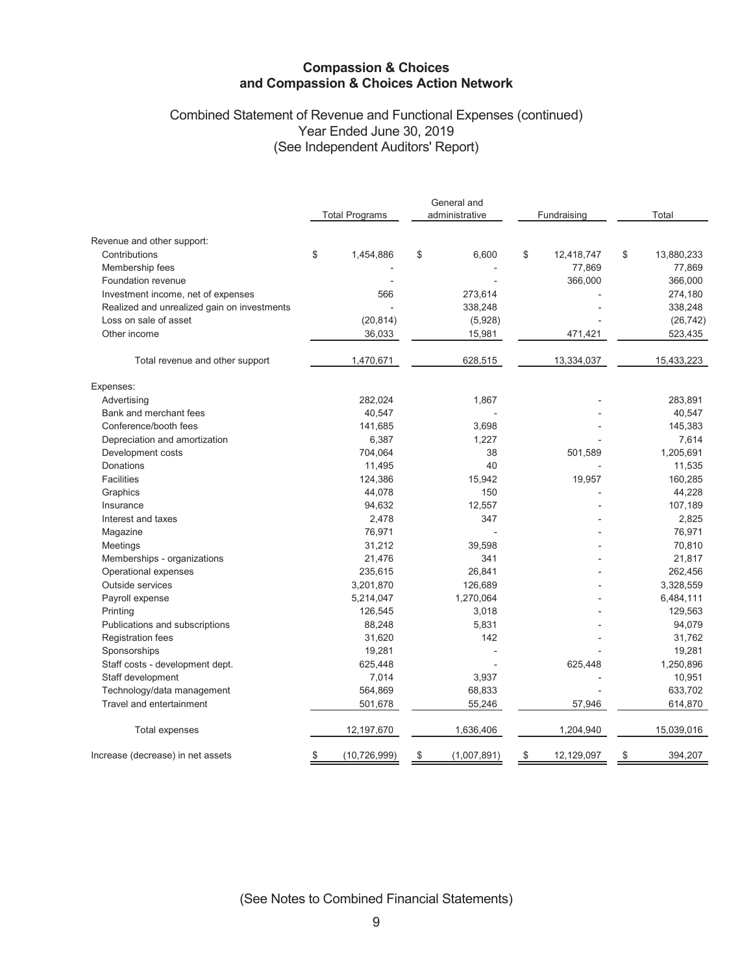# Combined Statement of Revenue and Functional Expenses (continued) Year Ended June 30, 2019 (See Independent Auditors' Report)

|                                             |    |                       | General and       |                  |    |            |  |
|---------------------------------------------|----|-----------------------|-------------------|------------------|----|------------|--|
|                                             |    | <b>Total Programs</b> | administrative    | Fundraising      |    | Total      |  |
| Revenue and other support:                  |    |                       |                   |                  |    |            |  |
| Contributions                               | \$ | 1,454,886             | \$<br>6.600       | \$<br>12,418,747 | \$ | 13,880,233 |  |
| Membership fees                             |    |                       |                   | 77,869           |    | 77,869     |  |
| Foundation revenue                          |    |                       |                   | 366,000          |    | 366,000    |  |
| Investment income, net of expenses          |    | 566                   | 273,614           |                  |    | 274,180    |  |
| Realized and unrealized gain on investments |    |                       | 338,248           |                  |    | 338,248    |  |
| Loss on sale of asset                       |    | (20, 814)             | (5,928)           |                  |    | (26, 742)  |  |
| Other income                                |    | 36,033                | 15,981            | 471,421          |    | 523,435    |  |
| Total revenue and other support             |    | 1,470,671             | 628,515           | 13,334,037       |    | 15,433,223 |  |
| Expenses:                                   |    |                       |                   |                  |    |            |  |
| Advertising                                 |    | 282,024               | 1,867             |                  |    | 283,891    |  |
| Bank and merchant fees                      |    | 40,547                |                   |                  |    | 40,547     |  |
| Conference/booth fees                       |    | 141,685               | 3,698             |                  |    | 145,383    |  |
| Depreciation and amortization               |    | 6,387                 | 1,227             |                  |    | 7,614      |  |
| Development costs                           |    | 704,064               | 38                | 501,589          |    | 1,205,691  |  |
| Donations                                   |    | 11,495                | 40                |                  |    | 11,535     |  |
| <b>Facilities</b>                           |    | 124,386               | 15,942            | 19,957           |    | 160,285    |  |
| Graphics                                    |    | 44,078                | 150               |                  |    | 44,228     |  |
| Insurance                                   |    | 94,632                | 12,557            |                  |    | 107,189    |  |
| Interest and taxes                          |    | 2,478                 | 347               |                  |    | 2,825      |  |
| Magazine                                    |    | 76,971                |                   |                  |    | 76,971     |  |
| Meetings                                    |    | 31,212                | 39,598            |                  |    | 70,810     |  |
| Memberships - organizations                 |    | 21,476                | 341               |                  |    | 21,817     |  |
| Operational expenses                        |    | 235,615               | 26,841            |                  |    | 262,456    |  |
| Outside services                            |    | 3,201,870             | 126,689           |                  |    | 3,328,559  |  |
| Payroll expense                             |    | 5,214,047             | 1,270,064         |                  |    | 6,484,111  |  |
| Printing                                    |    | 126,545               | 3,018             |                  |    | 129,563    |  |
| Publications and subscriptions              |    | 88,248                | 5,831             |                  |    | 94,079     |  |
| <b>Registration fees</b>                    |    | 31,620                | 142               |                  |    | 31,762     |  |
| Sponsorships                                |    | 19,281                |                   |                  |    | 19,281     |  |
| Staff costs - development dept.             |    | 625,448               |                   | 625,448          |    | 1,250,896  |  |
| Staff development                           |    | 7,014                 | 3,937             |                  |    | 10,951     |  |
| Technology/data management                  |    | 564,869               | 68,833            |                  |    | 633,702    |  |
| Travel and entertainment                    |    | 501,678               | 55,246            | 57,946           |    | 614,870    |  |
| Total expenses                              |    | 12,197,670            | 1,636,406         | 1,204,940        |    | 15,039,016 |  |
| Increase (decrease) in net assets           | \$ | (10, 726, 999)        | \$<br>(1,007,891) | \$<br>12,129,097 | \$ | 394,207    |  |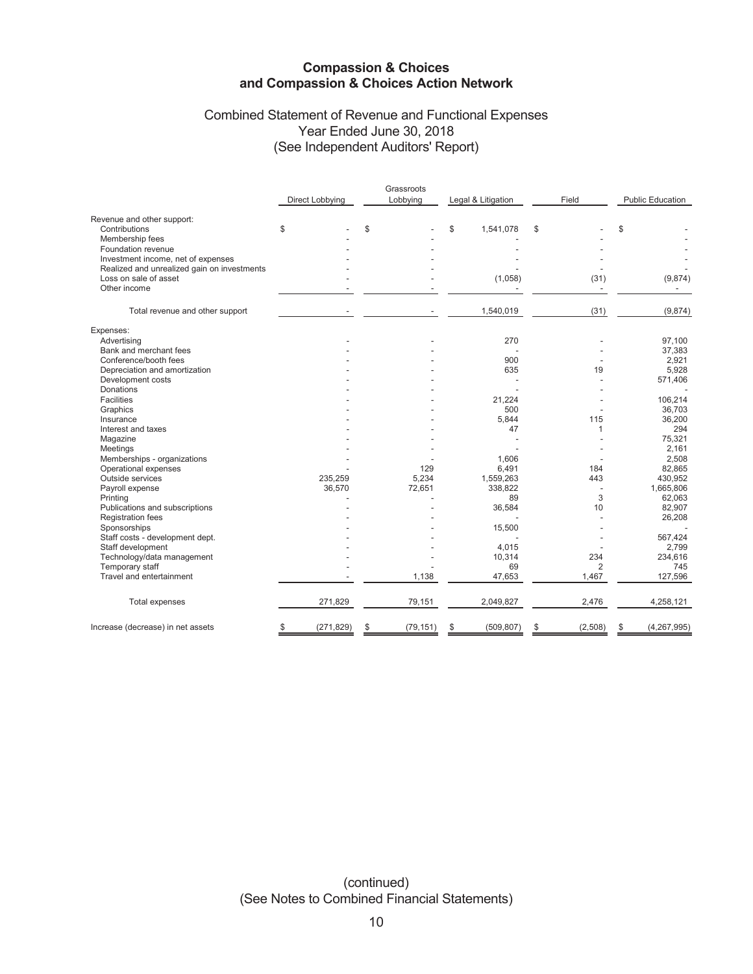# Combined Statement of Revenue and Functional Expenses Year Ended June 30, 2018 (See Independent Auditors' Report)

|                                             |                 | Grassroots      |                    |               |                         |
|---------------------------------------------|-----------------|-----------------|--------------------|---------------|-------------------------|
|                                             | Direct Lobbying | Lobbying        | Legal & Litigation | Field         | <b>Public Education</b> |
| Revenue and other support:                  |                 |                 |                    |               |                         |
| Contributions                               | \$              | \$              | \$<br>1,541,078    | \$            | \$                      |
| Membership fees                             |                 |                 |                    |               |                         |
| Foundation revenue                          |                 |                 |                    |               |                         |
| Investment income, net of expenses          |                 |                 |                    |               |                         |
| Realized and unrealized gain on investments |                 |                 |                    |               |                         |
| Loss on sale of asset                       |                 |                 | (1,058)            | (31)          | (9,874)                 |
| Other income                                |                 |                 |                    |               |                         |
|                                             |                 |                 |                    |               |                         |
| Total revenue and other support             |                 |                 | 1,540,019          | (31)          | (9,874)                 |
| Expenses:                                   |                 |                 |                    |               |                         |
| Advertising                                 |                 |                 | 270                |               | 97,100                  |
| Bank and merchant fees                      |                 |                 |                    |               | 37,383                  |
| Conference/booth fees                       |                 |                 | 900                |               | 2,921                   |
| Depreciation and amortization               |                 |                 | 635                | 19            | 5,928                   |
| Development costs                           |                 |                 |                    |               | 571,406                 |
| Donations                                   |                 |                 |                    |               |                         |
| <b>Facilities</b>                           |                 |                 | 21,224             |               | 106,214                 |
| Graphics                                    |                 |                 | 500                |               | 36,703                  |
| Insurance                                   |                 |                 | 5,844              | 115           | 36,200                  |
| Interest and taxes                          |                 |                 | 47                 | 1             | 294                     |
| Magazine                                    |                 |                 |                    |               | 75,321                  |
| Meetings                                    |                 |                 |                    |               | 2.161                   |
| Memberships - organizations                 |                 |                 | 1.606              |               | 2,508                   |
| Operational expenses                        |                 | 129             | 6,491              | 184           | 82,865                  |
| Outside services                            | 235,259         | 5,234           | 1,559,263          | 443           | 430,952                 |
| Payroll expense                             | 36,570          | 72,651          | 338,822            |               | 1,665,806               |
| Printing                                    |                 |                 | 89                 | 3             | 62,063                  |
| Publications and subscriptions              |                 |                 | 36,584             | 10            | 82,907                  |
| <b>Registration fees</b>                    |                 |                 |                    |               | 26,208                  |
| Sponsorships                                |                 |                 | 15,500             |               |                         |
| Staff costs - development dept.             |                 |                 |                    |               | 567,424                 |
| Staff development                           |                 |                 | 4.015              |               | 2.799                   |
| Technology/data management                  |                 |                 | 10,314             | 234           | 234,616                 |
| Temporary staff                             |                 |                 | 69                 | 2             | 745                     |
| Travel and entertainment                    |                 | 1,138           | 47,653             | 1,467         | 127,596                 |
| Total expenses                              | 271,829         | 79,151          | 2,049,827          | 2,476         | 4,258,121               |
| Increase (decrease) in net assets           | (271, 829)      | \$<br>(79, 151) | \$<br>(509, 807)   | \$<br>(2,508) | \$<br>(4, 267, 995)     |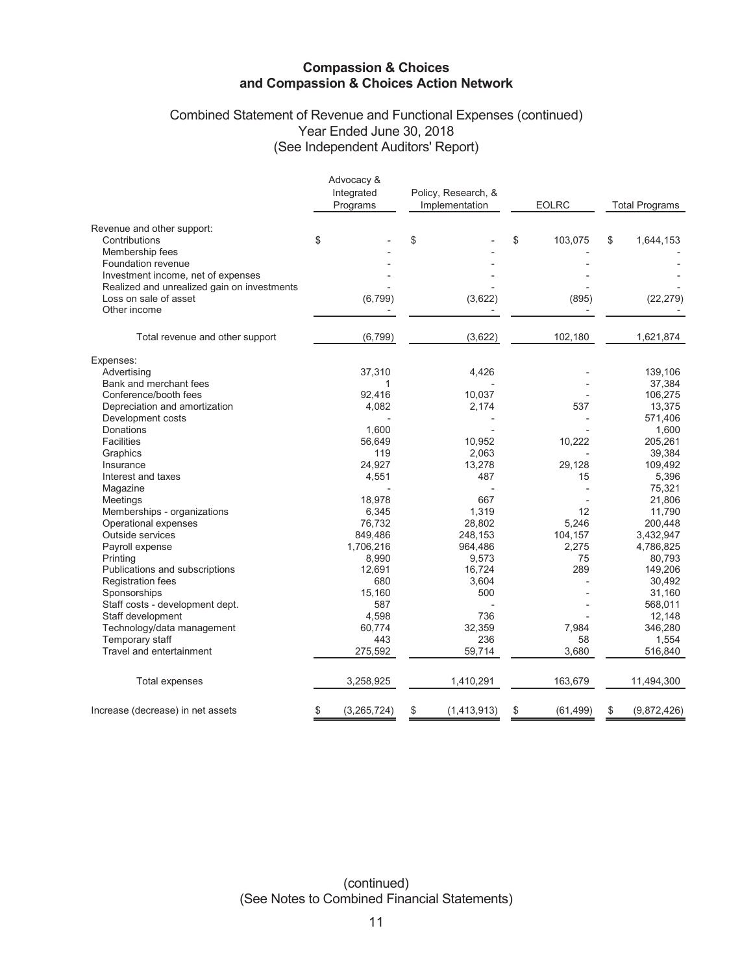# Combined Statement of Revenue and Functional Expenses (continued) Year Ended June 30, 2018 (See Independent Auditors' Report)

|                                             | Advocacy &<br>Integrated<br>Programs | Policy, Research, &<br>Implementation | <b>EOLRC</b>    | <b>Total Programs</b> |
|---------------------------------------------|--------------------------------------|---------------------------------------|-----------------|-----------------------|
| Revenue and other support:                  |                                      |                                       |                 |                       |
| Contributions                               | \$                                   | \$                                    | \$<br>103,075   | \$<br>1,644,153       |
| Membership fees<br>Foundation revenue       |                                      |                                       |                 |                       |
| Investment income, net of expenses          |                                      |                                       |                 |                       |
| Realized and unrealized gain on investments |                                      |                                       |                 |                       |
| Loss on sale of asset                       | (6, 799)                             | (3,622)                               | (895)           | (22, 279)             |
| Other income                                |                                      |                                       |                 |                       |
| Total revenue and other support             | (6, 799)                             | (3,622)                               | 102,180         | 1,621,874             |
| Expenses:                                   |                                      |                                       |                 |                       |
| Advertising                                 | 37,310                               | 4,426                                 |                 | 139,106               |
| Bank and merchant fees                      | 1                                    |                                       |                 | 37,384                |
| Conference/booth fees                       | 92,416                               | 10,037                                |                 | 106,275               |
| Depreciation and amortization               | 4,082                                | 2,174                                 | 537             | 13,375                |
| Development costs                           |                                      |                                       |                 | 571,406               |
| Donations                                   | 1.600                                |                                       |                 | 1,600                 |
| <b>Facilities</b>                           | 56,649                               | 10,952                                | 10,222          | 205,261               |
| Graphics                                    | 119                                  | 2,063                                 |                 | 39,384                |
| Insurance                                   | 24,927                               | 13,278                                | 29,128          | 109,492               |
| Interest and taxes                          | 4,551                                | 487                                   | 15              | 5,396                 |
| Magazine                                    |                                      |                                       |                 | 75,321                |
| Meetings                                    | 18,978                               | 667                                   |                 | 21,806                |
| Memberships - organizations                 | 6,345                                | 1,319                                 | 12              | 11,790                |
| Operational expenses                        | 76,732                               | 28,802                                | 5,246           | 200,448               |
| Outside services                            | 849,486                              | 248,153                               | 104,157         | 3,432,947             |
| Payroll expense                             | 1,706,216                            | 964,486                               | 2,275           | 4,786,825             |
| Printing                                    | 8,990                                | 9,573                                 | 75              | 80,793                |
| Publications and subscriptions              | 12,691                               | 16,724                                | 289             | 149,206               |
| <b>Registration fees</b>                    | 680                                  | 3,604                                 |                 | 30,492                |
| Sponsorships                                | 15,160                               | 500                                   |                 | 31,160                |
| Staff costs - development dept.             | 587                                  |                                       |                 | 568,011               |
| Staff development                           | 4,598                                | 736                                   |                 | 12,148                |
| Technology/data management                  | 60,774                               | 32,359                                | 7,984           | 346,280               |
| Temporary staff                             | 443                                  | 236                                   | 58              | 1,554                 |
| Travel and entertainment                    | 275,592                              | 59,714                                | 3,680           | 516,840               |
| Total expenses                              | 3,258,925                            | 1,410,291                             | 163,679         | 11,494,300            |
| Increase (decrease) in net assets           | (3, 265, 724)<br>\$                  | \$<br>(1,413,913)                     | \$<br>(61, 499) | (9,872,426)<br>\$     |

(continued) (See Notes to Combined Financial Statements)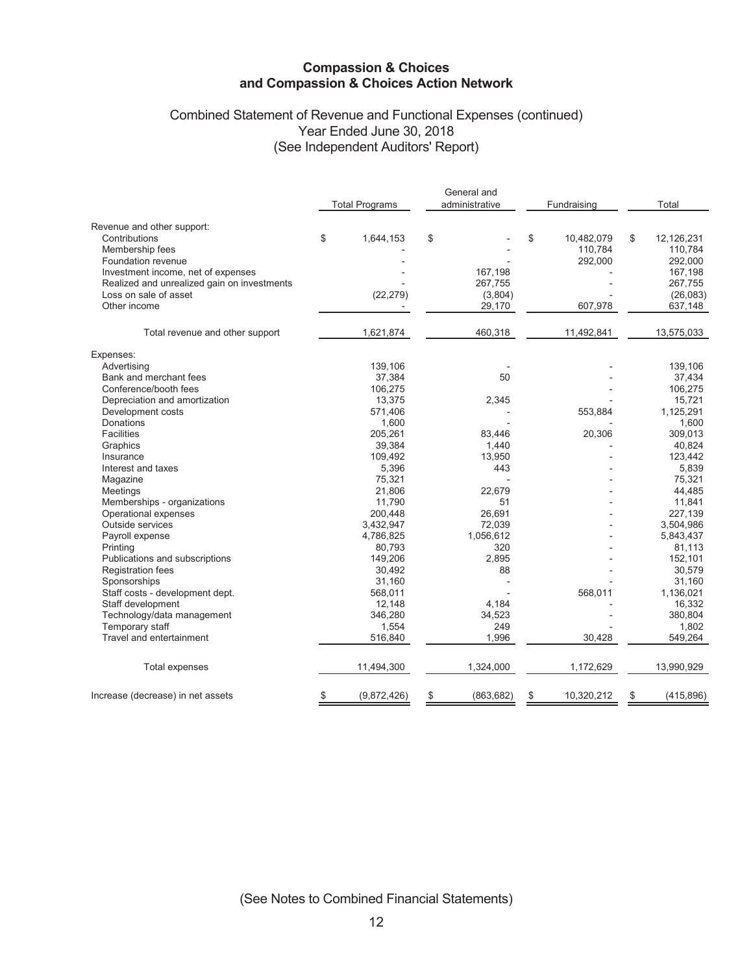# Combined Statement of Revenue and Functional Expenses (continued) Year Ended June 30, 2018 (See Independent Auditors' Report)

|                                             |                       |    | General and    |    |             |    |            |
|---------------------------------------------|-----------------------|----|----------------|----|-------------|----|------------|
|                                             | <b>Total Programs</b> |    | administrative |    | Fundraising |    | Total      |
| Revenue and other support:                  |                       |    |                |    |             |    |            |
| Contributions                               | \$<br>1,644,153       | \$ |                | \$ | 10,482,079  | \$ | 12,126,231 |
| Membership fees                             |                       |    |                |    | 110,784     |    | 110,784    |
| Foundation revenue                          |                       |    |                |    | 292,000     |    | 292,000    |
| Investment income, net of expenses          |                       |    | 167,198        |    |             |    | 167,198    |
| Realized and unrealized gain on investments |                       |    | 267,755        |    |             |    | 267,755    |
| Loss on sale of asset                       | (22, 279)             |    | (3,804)        |    |             |    | (26,083)   |
| Other income                                |                       |    | 29,170         |    |             |    |            |
|                                             |                       |    |                |    | 607,978     |    | 637,148    |
| Total revenue and other support             | 1,621,874             |    | 460,318        |    | 11,492,841  |    | 13,575,033 |
| Expenses:                                   |                       |    |                |    |             |    |            |
| Advertising                                 | 139,106               |    |                |    |             |    | 139,106    |
| Bank and merchant fees                      | 37,384                |    | 50             |    |             |    | 37,434     |
| Conference/booth fees                       | 106,275               |    |                |    |             |    | 106,275    |
| Depreciation and amortization               | 13,375                |    | 2,345          |    |             |    | 15,721     |
| Development costs                           | 571,406               |    |                |    | 553,884     |    | 1,125,291  |
| Donations                                   | 1,600                 |    |                |    |             |    | 1,600      |
| Facilities                                  | 205,261               |    | 83,446         |    | 20,306      |    | 309,013    |
| Graphics                                    | 39,384                |    | 1,440          |    |             |    | 40,824     |
| Insurance                                   | 109,492               |    | 13,950         |    |             |    | 123,442    |
| Interest and taxes                          | 5,396                 |    | 443            |    |             |    | 5,839      |
| Magazine                                    | 75,321                |    |                |    |             |    | 75,321     |
| Meetings                                    | 21,806                |    | 22,679         |    |             |    | 44,485     |
| Memberships - organizations                 | 11,790                |    | 51             |    |             |    | 11,841     |
| Operational expenses                        | 200,448               |    | 26,691         |    |             |    | 227,139    |
| Outside services                            | 3,432,947             |    | 72,039         |    |             |    | 3,504,986  |
| Payroll expense                             | 4,786,825             |    | 1,056,612      |    |             |    | 5,843,437  |
| Printing                                    | 80,793                |    | 320            |    |             |    | 81,113     |
| Publications and subscriptions              | 149,206               |    | 2,895          |    |             |    | 152,101    |
| <b>Registration fees</b>                    | 30,492                |    | 88             |    |             |    | 30,579     |
| Sponsorships                                | 31,160                |    |                |    |             |    | 31,160     |
| Staff costs - development dept.             | 568,011               |    |                |    | 568,011     |    | 1,136,021  |
| Staff development                           | 12,148                |    | 4,184          |    |             |    | 16,332     |
| Technology/data management                  | 346,280               |    | 34,523         |    |             |    | 380,804    |
| Temporary staff                             | 1,554                 |    | 249            |    |             |    | 1,802      |
| Travel and entertainment                    | 516,840               |    | 1,996          |    | 30,428      |    | 549,264    |
| <b>Total expenses</b>                       | 11,494,300            |    | 1,324,000      |    | 1,172,629   |    | 13,990,929 |
| Increase (decrease) in net assets           | \$<br>(9,872,426)     | S  | (863, 682)     | S  | 10,320,212  | S  | (415, 896) |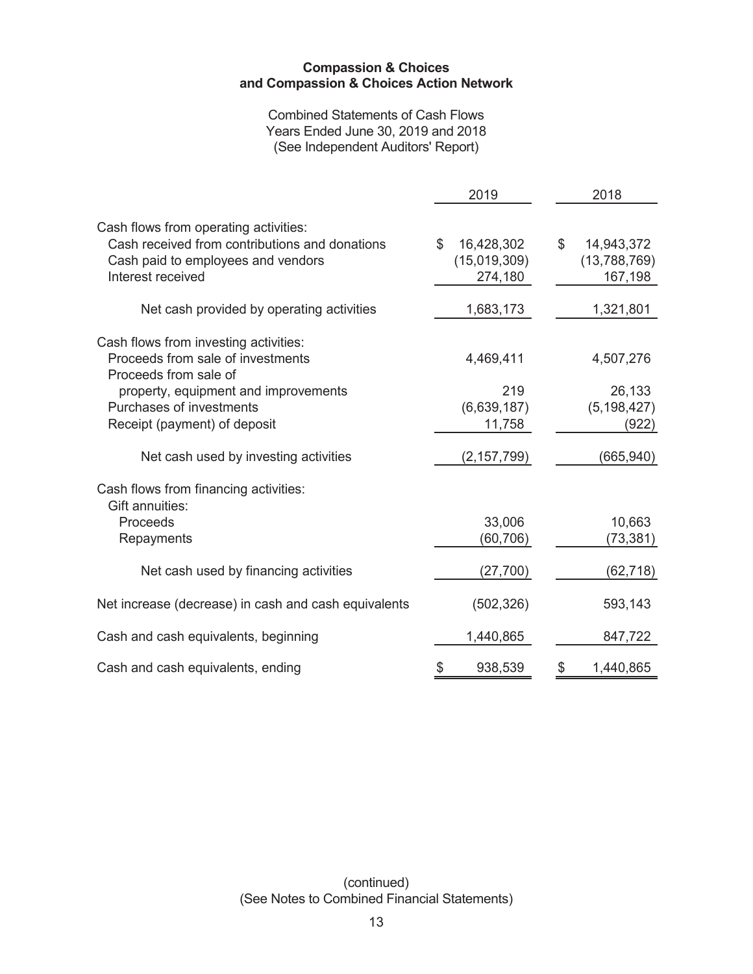**Combined Statements of Cash Flows** Years Ended June 30, 2019 and 2018 (See Independent Auditors' Report)

|                                                                                                                                                    | 2019                                                    | 2018                                                 |
|----------------------------------------------------------------------------------------------------------------------------------------------------|---------------------------------------------------------|------------------------------------------------------|
| Cash flows from operating activities:<br>Cash received from contributions and donations<br>Cash paid to employees and vendors<br>Interest received | $\mathfrak{L}$<br>16,428,302<br>(15,019,309)<br>274,180 | $\mathbb S$<br>14,943,372<br>(13,788,769)<br>167,198 |
| Net cash provided by operating activities                                                                                                          | 1,683,173                                               | 1,321,801                                            |
| Cash flows from investing activities:<br>Proceeds from sale of investments<br>Proceeds from sale of                                                | 4,469,411                                               | 4,507,276                                            |
| property, equipment and improvements<br>Purchases of investments<br>Receipt (payment) of deposit                                                   | 219<br>(6,639,187)<br>11,758                            | 26,133<br>(5, 198, 427)<br>(922)                     |
| Net cash used by investing activities                                                                                                              | (2, 157, 799)                                           | (665, 940)                                           |
| Cash flows from financing activities:<br>Gift annuities:<br>Proceeds<br>Repayments                                                                 | 33,006<br>(60,706)                                      | 10,663<br>(73, 381)                                  |
| Net cash used by financing activities                                                                                                              | (27, 700)                                               | (62,718)                                             |
| Net increase (decrease) in cash and cash equivalents                                                                                               | (502, 326)                                              | 593,143                                              |
| Cash and cash equivalents, beginning                                                                                                               | 1,440,865                                               | 847,722                                              |
| Cash and cash equivalents, ending                                                                                                                  | \$<br>938,539                                           | \$<br>1,440,865                                      |

(continued) (See Notes to Combined Financial Statements)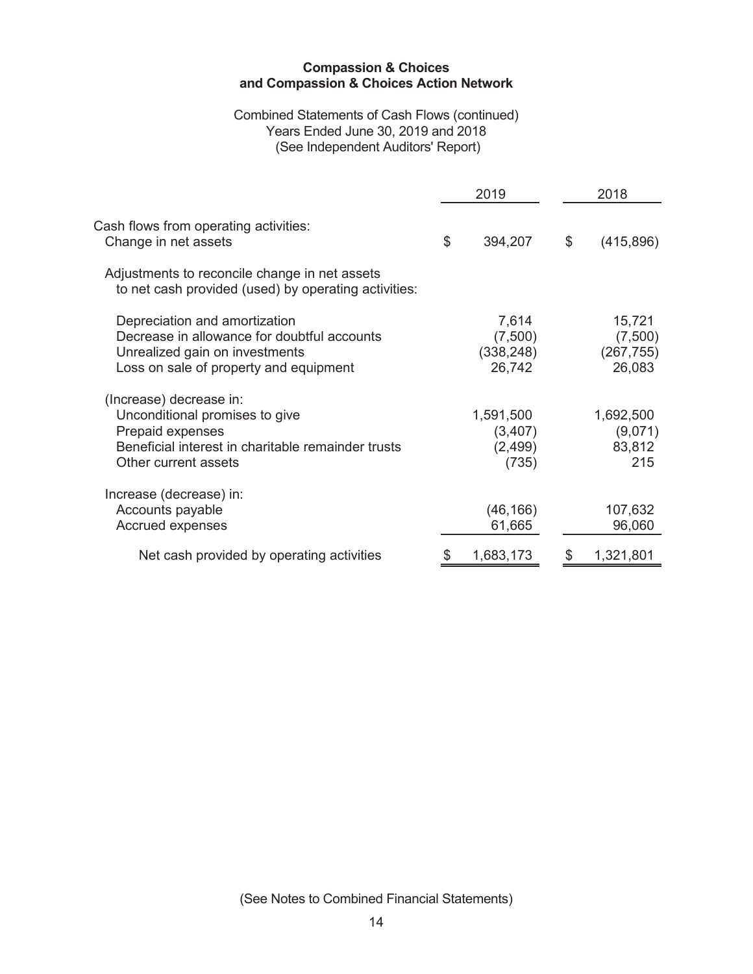## Combined Statements of Cash Flows (continued) Years Ended June 30, 2019 and 2018 (See Independent Auditors' Report)

|                                                                                                                                                             | 2019                                       | 2018                                      |
|-------------------------------------------------------------------------------------------------------------------------------------------------------------|--------------------------------------------|-------------------------------------------|
| Cash flows from operating activities:<br>Change in net assets                                                                                               | \$<br>394,207                              | \$<br>(415, 896)                          |
| Adjustments to reconcile change in net assets<br>to net cash provided (used) by operating activities:                                                       |                                            |                                           |
| Depreciation and amortization<br>Decrease in allowance for doubtful accounts<br>Unrealized gain on investments<br>Loss on sale of property and equipment    | 7,614<br>(7,500)<br>(338, 248)<br>26,742   | 15,721<br>(7,500)<br>(267, 755)<br>26,083 |
| (Increase) decrease in:<br>Unconditional promises to give<br>Prepaid expenses<br>Beneficial interest in charitable remainder trusts<br>Other current assets | 1,591,500<br>(3, 407)<br>(2, 499)<br>(735) | 1,692,500<br>(9,071)<br>83,812<br>215     |
| Increase (decrease) in:<br>Accounts payable<br>Accrued expenses                                                                                             | (46, 166)<br>61,665                        | 107,632<br>96,060                         |
| Net cash provided by operating activities                                                                                                                   | 1,683,173                                  | 1,321,801                                 |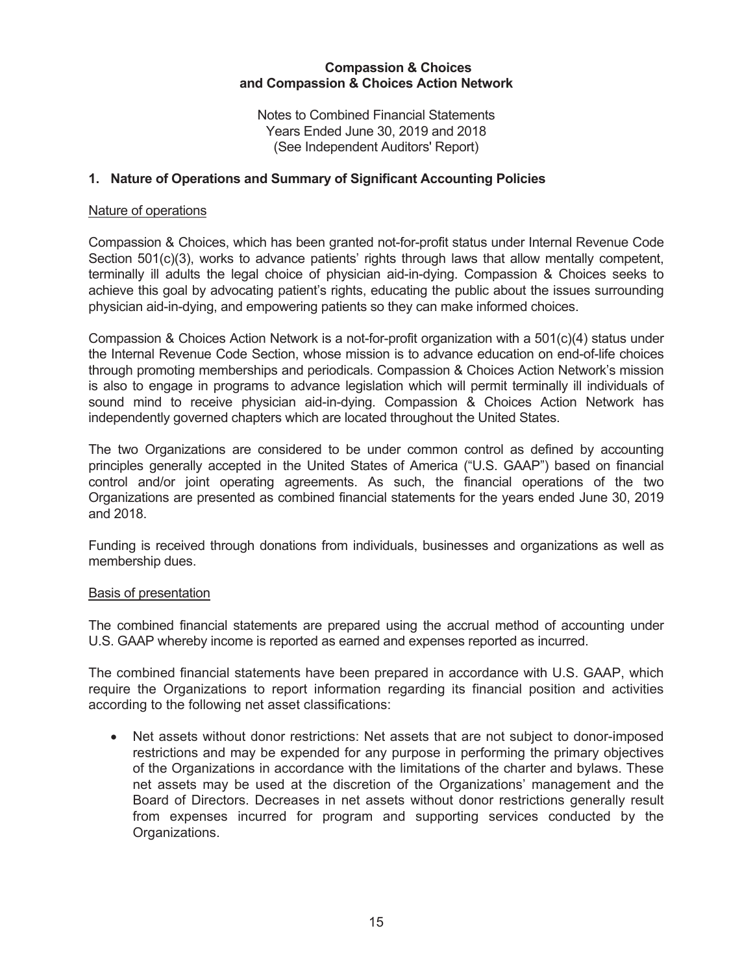Notes to Combined Financial Statements Years Ended June 30, 2019 and 2018 (See Independent Auditors' Report)

# 1. Nature of Operations and Summary of Significant Accounting Policies

### Nature of operations

Compassion & Choices, which has been granted not-for-profit status under Internal Revenue Code Section 501(c)(3), works to advance patients' rights through laws that allow mentally competent, terminally ill adults the legal choice of physician aid-in-dying. Compassion & Choices seeks to achieve this goal by advocating patient's rights, educating the public about the issues surrounding physician aid-in-dying, and empowering patients so they can make informed choices.

Compassion & Choices Action Network is a not-for-profit organization with a 501(c)(4) status under the Internal Revenue Code Section, whose mission is to advance education on end-of-life choices through promoting memberships and periodicals. Compassion & Choices Action Network's mission is also to engage in programs to advance legislation which will permit terminally ill individuals of sound mind to receive physician aid-in-dying. Compassion & Choices Action Network has independently governed chapters which are located throughout the United States.

The two Organizations are considered to be under common control as defined by accounting principles generally accepted in the United States of America ("U.S. GAAP") based on financial control and/or joint operating agreements. As such, the financial operations of the two Organizations are presented as combined financial statements for the years ended June 30, 2019 and 2018.

Funding is received through donations from individuals, businesses and organizations as well as membership dues.

#### Basis of presentation

The combined financial statements are prepared using the accrual method of accounting under U.S. GAAP whereby income is reported as earned and expenses reported as incurred.

The combined financial statements have been prepared in accordance with U.S. GAAP, which require the Organizations to report information regarding its financial position and activities according to the following net asset classifications:

Net assets without donor restrictions: Net assets that are not subject to donor-imposed restrictions and may be expended for any purpose in performing the primary objectives of the Organizations in accordance with the limitations of the charter and bylaws. These net assets may be used at the discretion of the Organizations' management and the Board of Directors. Decreases in net assets without donor restrictions generally result from expenses incurred for program and supporting services conducted by the Organizations.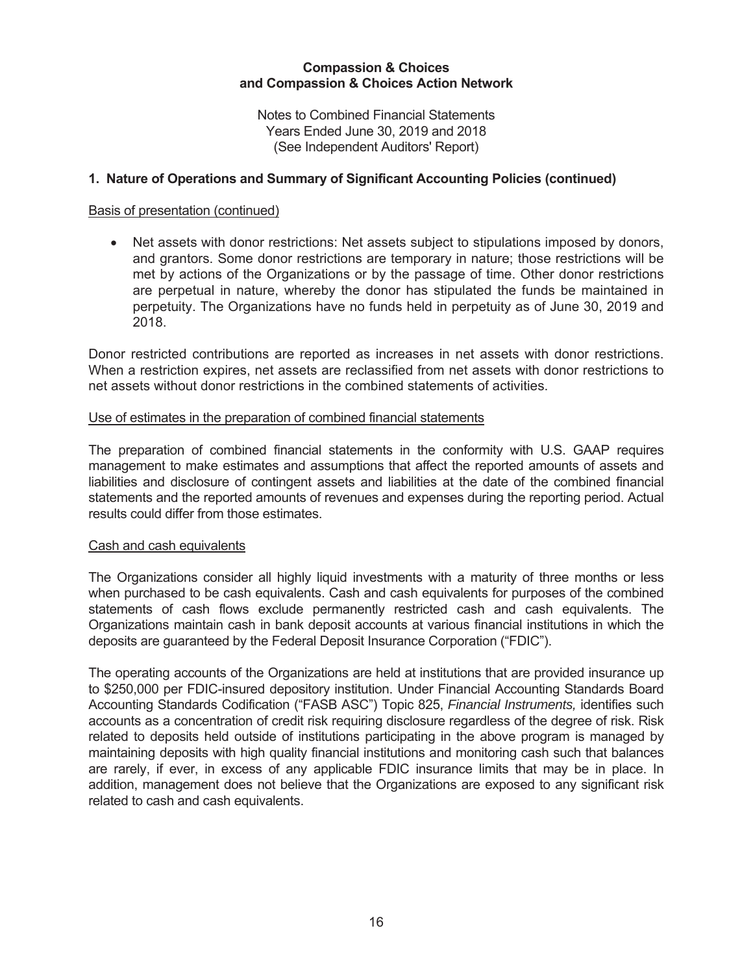Notes to Combined Financial Statements Years Ended June 30, 2019 and 2018 (See Independent Auditors' Report)

# 1. Nature of Operations and Summary of Significant Accounting Policies (continued)

### Basis of presentation (continued)

• Net assets with donor restrictions: Net assets subject to stipulations imposed by donors, and grantors. Some donor restrictions are temporary in nature; those restrictions will be met by actions of the Organizations or by the passage of time. Other donor restrictions are perpetual in nature, whereby the donor has stipulated the funds be maintained in perpetuity. The Organizations have no funds held in perpetuity as of June 30, 2019 and 2018.

Donor restricted contributions are reported as increases in net assets with donor restrictions. When a restriction expires, net assets are reclassified from net assets with donor restrictions to net assets without donor restrictions in the combined statements of activities.

### Use of estimates in the preparation of combined financial statements

The preparation of combined financial statements in the conformity with U.S. GAAP requires management to make estimates and assumptions that affect the reported amounts of assets and liabilities and disclosure of contingent assets and liabilities at the date of the combined financial statements and the reported amounts of revenues and expenses during the reporting period. Actual results could differ from those estimates.

# Cash and cash equivalents

The Organizations consider all highly liquid investments with a maturity of three months or less when purchased to be cash equivalents. Cash and cash equivalents for purposes of the combined statements of cash flows exclude permanently restricted cash and cash equivalents. The Organizations maintain cash in bank deposit accounts at various financial institutions in which the deposits are quaranteed by the Federal Deposit Insurance Corporation ("FDIC").

The operating accounts of the Organizations are held at institutions that are provided insurance up to \$250,000 per FDIC-insured depository institution. Under Financial Accounting Standards Board Accounting Standards Codification ("FASB ASC") Topic 825, Financial Instruments, identifies such accounts as a concentration of credit risk requiring disclosure regardless of the degree of risk. Risk related to deposits held outside of institutions participating in the above program is managed by maintaining deposits with high quality financial institutions and monitoring cash such that balances are rarely, if ever, in excess of any applicable FDIC insurance limits that may be in place. In addition, management does not believe that the Organizations are exposed to any significant risk related to cash and cash equivalents.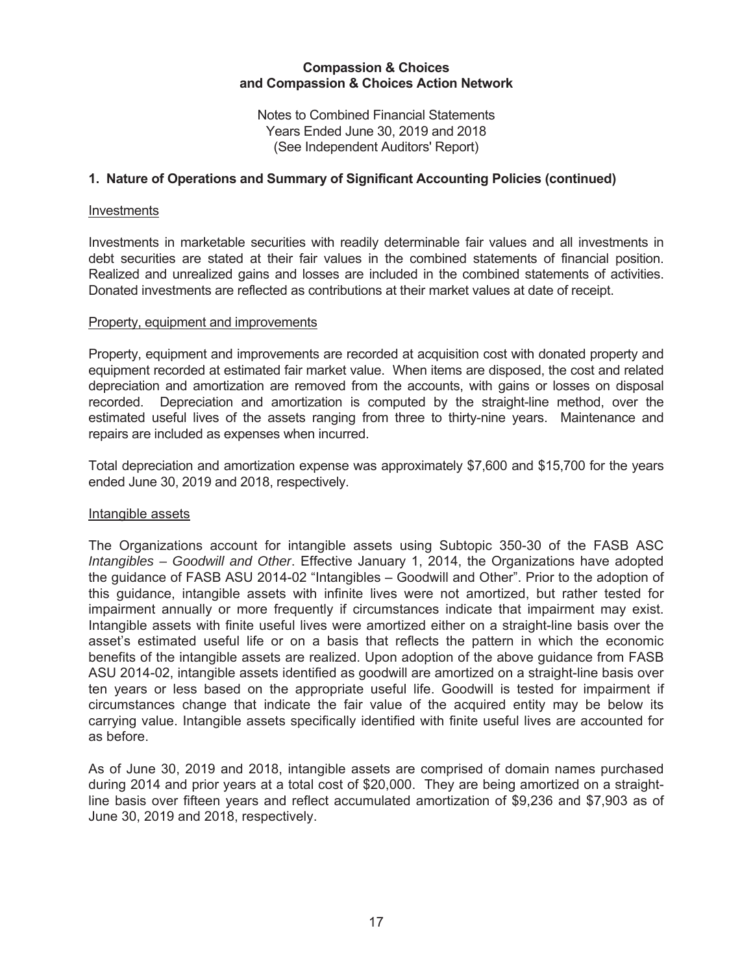Notes to Combined Financial Statements Years Ended June 30, 2019 and 2018 (See Independent Auditors' Report)

# 1. Nature of Operations and Summary of Significant Accounting Policies (continued)

#### Investments

Investments in marketable securities with readily determinable fair values and all investments in debt securities are stated at their fair values in the combined statements of financial position. Realized and unrealized gains and losses are included in the combined statements of activities. Donated investments are reflected as contributions at their market values at date of receipt.

#### Property, equipment and improvements

Property, equipment and improvements are recorded at acquisition cost with donated property and equipment recorded at estimated fair market value. When items are disposed, the cost and related depreciation and amortization are removed from the accounts, with gains or losses on disposal Depreciation and amortization is computed by the straight-line method, over the recorded. estimated useful lives of the assets ranging from three to thirty-nine years. Maintenance and repairs are included as expenses when incurred.

Total depreciation and amortization expense was approximately \$7,600 and \$15,700 for the years ended June 30, 2019 and 2018, respectively.

# Intangible assets

The Organizations account for intangible assets using Subtopic 350-30 of the FASB ASC Intangibles - Goodwill and Other. Effective January 1, 2014, the Organizations have adopted the guidance of FASB ASU 2014-02 "Intangibles - Goodwill and Other". Prior to the adoption of this quidance, intangible assets with infinite lives were not amortized, but rather tested for impairment annually or more frequently if circumstances indicate that impairment may exist. Intangible assets with finite useful lives were amortized either on a straight-line basis over the asset's estimated useful life or on a basis that reflects the pattern in which the economic benefits of the intangible assets are realized. Upon adoption of the above guidance from FASB ASU 2014-02, intangible assets identified as goodwill are amortized on a straight-line basis over ten years or less based on the appropriate useful life. Goodwill is tested for impairment if circumstances change that indicate the fair value of the acquired entity may be below its carrying value. Intangible assets specifically identified with finite useful lives are accounted for as before.

As of June 30, 2019 and 2018, intangible assets are comprised of domain names purchased during 2014 and prior years at a total cost of \$20,000. They are being amortized on a straightline basis over fifteen years and reflect accumulated amortization of \$9,236 and \$7,903 as of June 30, 2019 and 2018, respectively.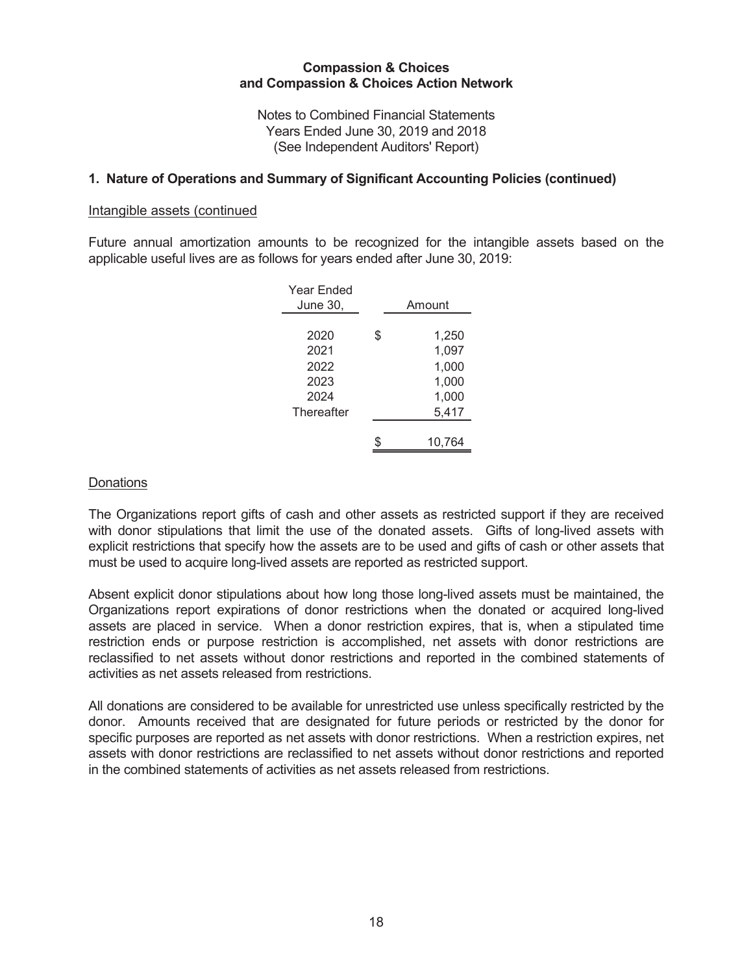Notes to Combined Financial Statements Years Ended June 30, 2019 and 2018 (See Independent Auditors' Report)

### 1. Nature of Operations and Summary of Significant Accounting Policies (continued)

#### Intangible assets (continued

Future annual amortization amounts to be recognized for the intangible assets based on the applicable useful lives are as follows for years ended after June 30, 2019:

| Year Fnded<br>June 30, | Amount      |
|------------------------|-------------|
|                        |             |
| 2020                   | \$<br>1,250 |
| 2021                   | 1,097       |
| 2022                   | 1,000       |
| 2023                   | 1,000       |
| 2024                   | 1,000       |
| Thereafter             | 5,417       |
|                        |             |
|                        | 10,764      |
|                        |             |

#### **Donations**

The Organizations report gifts of cash and other assets as restricted support if they are received with donor stipulations that limit the use of the donated assets. Gifts of long-lived assets with explicit restrictions that specify how the assets are to be used and gifts of cash or other assets that must be used to acquire long-lived assets are reported as restricted support.

Absent explicit donor stipulations about how long those long-lived assets must be maintained, the Organizations report expirations of donor restrictions when the donated or acquired long-lived assets are placed in service. When a donor restriction expires, that is, when a stipulated time restriction ends or purpose restriction is accomplished, net assets with donor restrictions are reclassified to net assets without donor restrictions and reported in the combined statements of activities as net assets released from restrictions.

All donations are considered to be available for unrestricted use unless specifically restricted by the donor. Amounts received that are designated for future periods or restricted by the donor for specific purposes are reported as net assets with donor restrictions. When a restriction expires, net assets with donor restrictions are reclassified to net assets without donor restrictions and reported in the combined statements of activities as net assets released from restrictions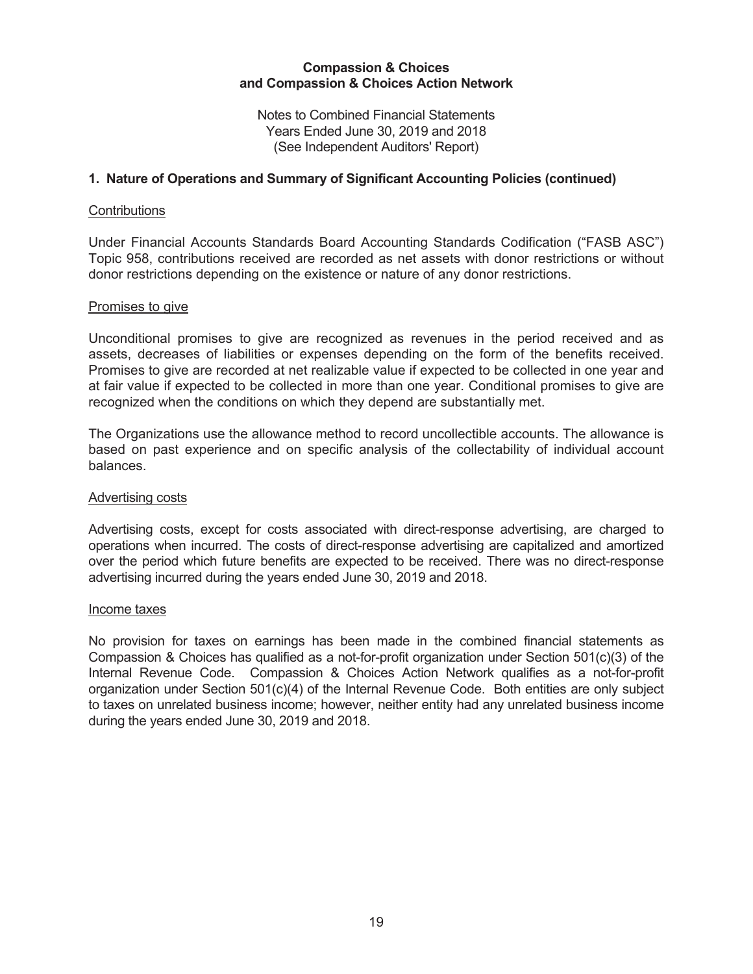Notes to Combined Financial Statements Years Ended June 30, 2019 and 2018 (See Independent Auditors' Report)

## 1. Nature of Operations and Summary of Significant Accounting Policies (continued)

#### Contributions

Under Financial Accounts Standards Board Accounting Standards Codification ("FASB ASC") Topic 958, contributions received are recorded as net assets with donor restrictions or without donor restrictions depending on the existence or nature of any donor restrictions.

#### Promises to give

Unconditional promises to give are recognized as revenues in the period received and as assets, decreases of liabilities or expenses depending on the form of the benefits received. Promises to give are recorded at net realizable value if expected to be collected in one year and at fair value if expected to be collected in more than one year. Conditional promises to give are recognized when the conditions on which they depend are substantially met.

The Organizations use the allowance method to record uncollectible accounts. The allowance is based on past experience and on specific analysis of the collectability of individual account balances.

#### Advertising costs

Advertising costs, except for costs associated with direct-response advertising, are charged to operations when incurred. The costs of direct-response advertising are capitalized and amortized over the period which future benefits are expected to be received. There was no direct-response advertising incurred during the years ended June 30, 2019 and 2018.

#### Income taxes

No provision for taxes on earnings has been made in the combined financial statements as Compassion & Choices has qualified as a not-for-profit organization under Section 501(c)(3) of the Internal Revenue Code. Compassion & Choices Action Network qualifies as a not-for-profit organization under Section 501(c)(4) of the Internal Revenue Code. Both entities are only subject to taxes on unrelated business income; however, neither entity had any unrelated business income during the years ended June 30, 2019 and 2018.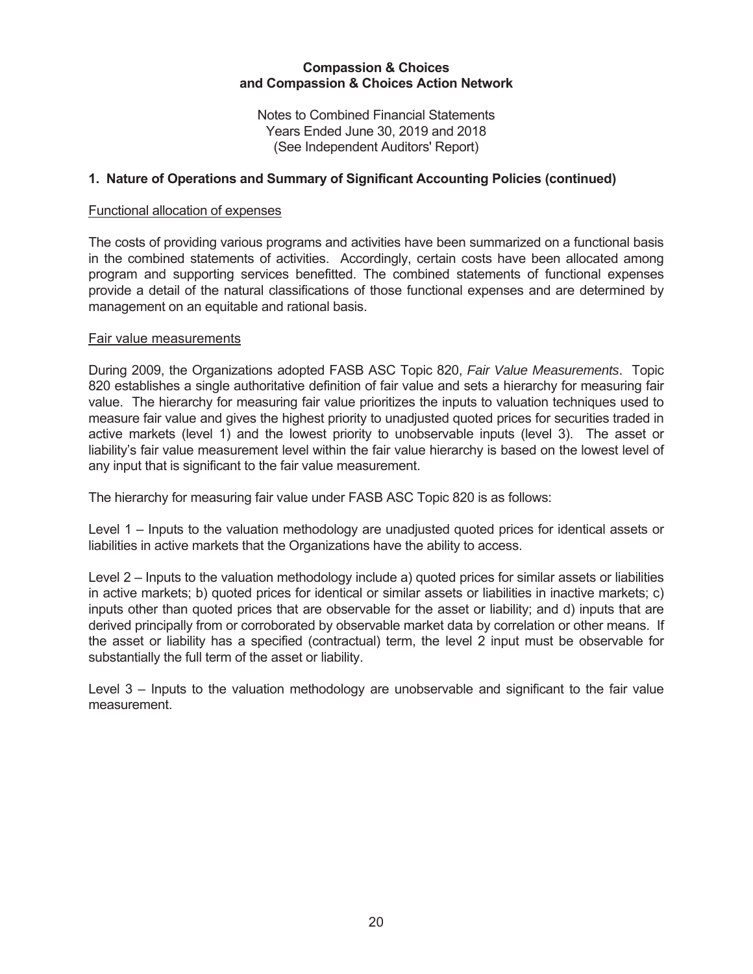Notes to Combined Financial Statements Years Ended June 30, 2019 and 2018 (See Independent Auditors' Report)

# 1. Nature of Operations and Summary of Significant Accounting Policies (continued)

### Functional allocation of expenses

The costs of providing various programs and activities have been summarized on a functional basis in the combined statements of activities. Accordingly, certain costs have been allocated among program and supporting services benefitted. The combined statements of functional expenses provide a detail of the natural classifications of those functional expenses and are determined by management on an equitable and rational basis.

### Fair value measurements

During 2009, the Organizations adopted FASB ASC Topic 820, Fair Value Measurements. Topic 820 establishes a single authoritative definition of fair value and sets a hierarchy for measuring fair value. The hierarchy for measuring fair value prioritizes the inputs to valuation techniques used to measure fair value and gives the highest priority to unadjusted guoted prices for securities traded in active markets (level 1) and the lowest priority to unobservable inputs (level 3). The asset or liability's fair value measurement level within the fair value hierarchy is based on the lowest level of any input that is significant to the fair value measurement.

The hierarchy for measuring fair value under FASB ASC Topic 820 is as follows:

Level  $1$  – Inputs to the valuation methodology are unadjusted quoted prices for identical assets or liabilities in active markets that the Organizations have the ability to access.

Level  $2$  – Inputs to the valuation methodology include a) guoted prices for similar assets or liabilities in active markets; b) quoted prices for identical or similar assets or liabilities in inactive markets; c) inputs other than quoted prices that are observable for the asset or liability; and d) inputs that are derived principally from or corroborated by observable market data by correlation or other means. If the asset or liability has a specified (contractual) term, the level 2 input must be observable for substantially the full term of the asset or liability.

Level  $3$  – Inputs to the valuation methodology are unobservable and significant to the fair value measurement.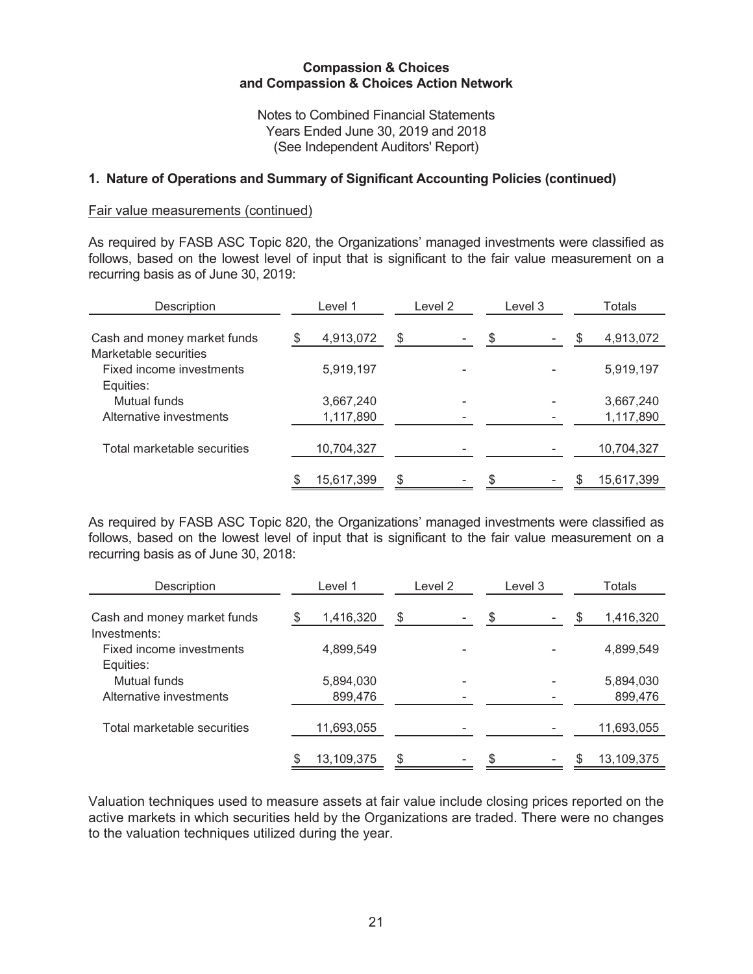Notes to Combined Financial Statements Years Ended June 30, 2019 and 2018 (See Independent Auditors' Report)

## 1. Nature of Operations and Summary of Significant Accounting Policies (continued)

#### Fair value measurements (continued)

As required by FASB ASC Topic 820, the Organizations' managed investments were classified as follows, based on the lowest level of input that is significant to the fair value measurement on a recurring basis as of June 30, 2019:

| Description                 |   | Level 1    | Level 2 | Level 3 | Totals |            |  |
|-----------------------------|---|------------|---------|---------|--------|------------|--|
| Cash and money market funds | S | 4,913,072  | \$      | \$      |        | 4,913,072  |  |
| Marketable securities       |   |            |         |         |        |            |  |
| Fixed income investments    |   | 5,919,197  |         |         |        | 5,919,197  |  |
| Equities:                   |   |            |         |         |        |            |  |
| Mutual funds                |   | 3,667,240  |         |         |        | 3,667,240  |  |
| Alternative investments     |   | 1,117,890  |         |         |        | 1,117,890  |  |
|                             |   |            |         |         |        |            |  |
| Total marketable securities |   | 10,704,327 |         |         |        | 10,704,327 |  |
|                             |   |            |         |         |        |            |  |
|                             |   | 15,617,399 | \$      |         |        | 15,617,399 |  |

As required by FASB ASC Topic 820, the Organizations' managed investments were classified as follows, based on the lowest level of input that is significant to the fair value measurement on a recurring basis as of June 30, 2018:

| Description                 | Level 1          | Level 2 | Level 3 | Totals |            |  |
|-----------------------------|------------------|---------|---------|--------|------------|--|
| Cash and money market funds | 1,416,320        | \$      | \$      |        | 1,416,320  |  |
| Investments:                |                  |         |         |        |            |  |
| Fixed income investments    | 4,899,549        |         |         |        | 4,899,549  |  |
| Equities:                   |                  |         |         |        |            |  |
| Mutual funds                | 5,894,030        |         |         |        | 5,894,030  |  |
| Alternative investments     | 899,476          |         |         |        | 899,476    |  |
|                             |                  |         |         |        |            |  |
| Total marketable securities | 11,693,055       |         |         |        | 11,693,055 |  |
|                             |                  |         |         |        |            |  |
|                             | \$<br>13,109,375 | \$      | \$      |        | 13,109,375 |  |

Valuation techniques used to measure assets at fair value include closing prices reported on the active markets in which securities held by the Organizations are traded. There were no changes to the valuation techniques utilized during the year.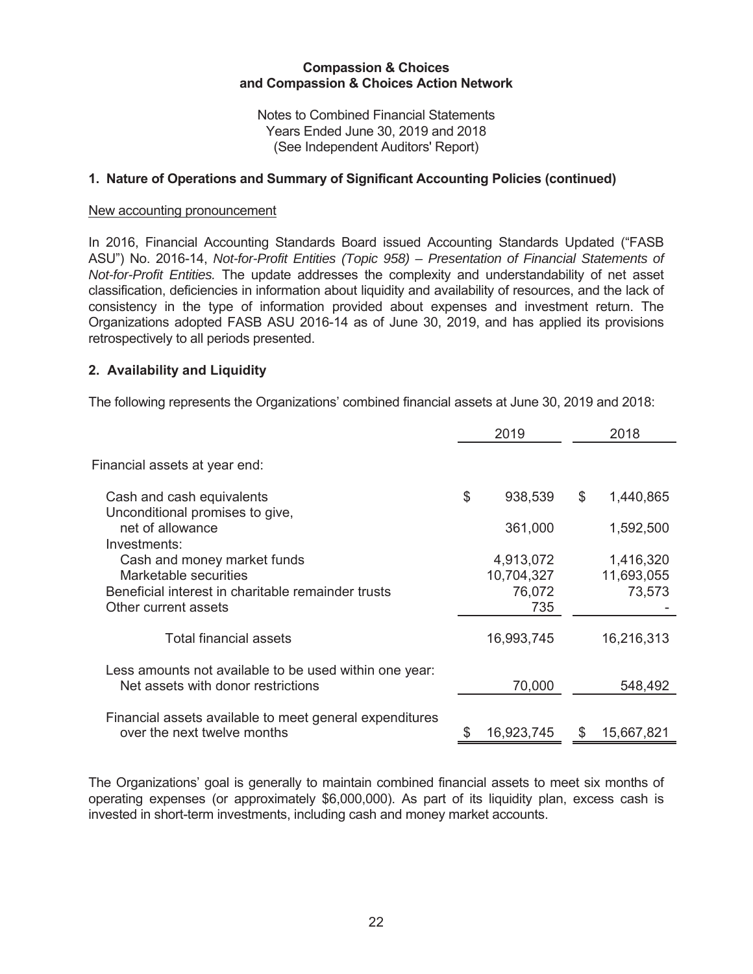Notes to Combined Financial Statements Years Ended June 30, 2019 and 2018 (See Independent Auditors' Report)

# 1. Nature of Operations and Summary of Significant Accounting Policies (continued)

#### New accounting pronouncement

In 2016, Financial Accounting Standards Board issued Accounting Standards Updated ("FASB ASU") No. 2016-14, Not-for-Profit Entities (Topic 958) – Presentation of Financial Statements of *Not-for-Profit Entities.* The update addresses the complexity and understandability of net asset classification, deficiencies in information about liquidity and availability of resources, and the lack of consistency in the type of information provided about expenses and investment return. The Organizations adopted FASB ASU 2016-14 as of June 30, 2019, and has applied its provisions retrospectively to all periods presented.

### **2. Availability and Liquidity**

The following represents the Organizations' combined financial assets at June 30, 2019 and 2018:

|                                                                                              | 2019          | 2018             |
|----------------------------------------------------------------------------------------------|---------------|------------------|
| Financial assets at year end:                                                                |               |                  |
| Cash and cash equivalents                                                                    | \$<br>938,539 | \$<br>1,440,865  |
| Unconditional promises to give,<br>net of allowance<br>Investments:                          | 361,000       | 1,592,500        |
| Cash and money market funds                                                                  | 4,913,072     | 1,416,320        |
| Marketable securities                                                                        | 10,704,327    | 11,693,055       |
| Beneficial interest in charitable remainder trusts<br>Other current assets                   | 76,072<br>735 | 73,573           |
| Total financial assets                                                                       | 16,993,745    | 16,216,313       |
| Less amounts not available to be used within one year:<br>Net assets with donor restrictions | 70,000        | 548,492          |
| Financial assets available to meet general expenditures<br>over the next twelve months       | 16,923,745    | \$<br>15,667,821 |

The Organizations' goal is generally to maintain combined financial assets to meet six months of operating expenses (or approximately  $$6,000,000$ ). As part of its liquidity plan, excess cash is invested in short-term investments, including cash and money market accounts.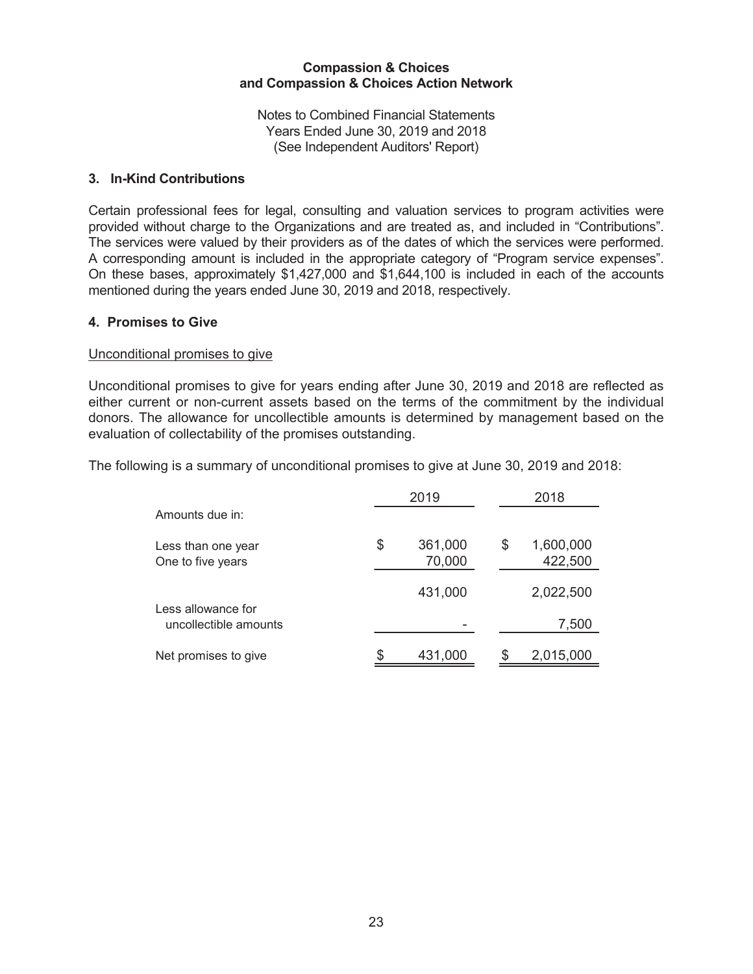Notes to Combined Financial Statements Years Ended June 30, 2019 and 2018 (See Independent Auditors' Report)

# 3. In-Kind Contributions

Certain professional fees for legal, consulting and valuation services to program activities were provided without charge to the Organizations and are treated as, and included in "Contributions". The services were valued by their providers as of the dates of which the services were performed. A corresponding amount is included in the appropriate category of "Program service expenses". On these bases, approximately \$1,427,000 and \$1,644,100 is included in each of the accounts mentioned during the years ended June 30, 2019 and 2018, respectively.

### 4. Promises to Give

#### Unconditional promises to give

Unconditional promises to give for years ending after June 30, 2019 and 2018 are reflected as either current or non-current assets based on the terms of the commitment by the individual donors. The allowance for uncollectible amounts is determined by management based on the evaluation of collectability of the promises outstanding.

The following is a summary of unconditional promises to give at June 30, 2019 and 2018:

|                                             | 2019                    |   | 2018                 |
|---------------------------------------------|-------------------------|---|----------------------|
| Amounts due in:                             |                         |   |                      |
| Less than one year<br>One to five years     | \$<br>361,000<br>70,000 | S | 1,600,000<br>422,500 |
|                                             | 431,000                 |   | 2,022,500            |
| Less allowance for<br>uncollectible amounts |                         |   | 7,500                |
| Net promises to give                        | 431,000                 |   | 2,015,000            |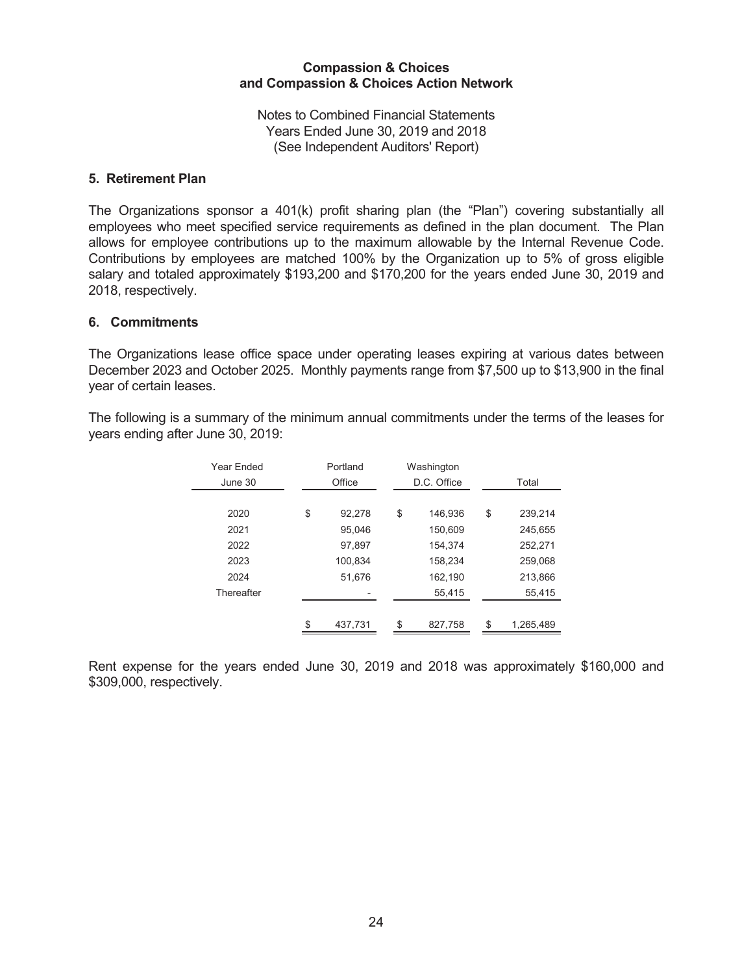Notes to Combined Financial Statements Years Ended June 30, 2019 and 2018 (See Independent Auditors' Report)

### 5. Retirement Plan

The Organizations sponsor a 401(k) profit sharing plan (the "Plan") covering substantially all employees who meet specified service requirements as defined in the plan document. The Plan allows for employee contributions up to the maximum allowable by the Internal Revenue Code. Contributions by employees are matched 100% by the Organization up to 5% of gross eligible salary and totaled approximately \$193,200 and \$170,200 for the years ended June 30, 2019 and 2018, respectively.

### 6. Commitments

The Organizations lease office space under operating leases expiring at various dates between December 2023 and October 2025. Monthly payments range from \$7,500 up to \$13,900 in the final year of certain leases.

| Year Ended | Portland      | Washington    |                 |
|------------|---------------|---------------|-----------------|
| June 30    | Office        | D.C. Office   | Total           |
|            |               |               |                 |
| 2020       | \$<br>92,278  | \$<br>146,936 | \$<br>239,214   |
| 2021       | 95,046        | 150,609       | 245,655         |
| 2022       | 97.897        | 154.374       | 252,271         |
| 2023       | 100.834       | 158,234       | 259.068         |
| 2024       | 51,676        | 162,190       | 213,866         |
| Thereafter |               | 55,415        | 55,415          |
|            |               |               |                 |
|            | \$<br>437.731 | \$<br>827.758 | \$<br>1,265,489 |
|            |               |               |                 |

The following is a summary of the minimum annual commitments under the terms of the leases for years ending after June 30, 2019:

Rent expense for the years ended June 30, 2019 and 2018 was approximately \$160,000 and \$309,000, respectively.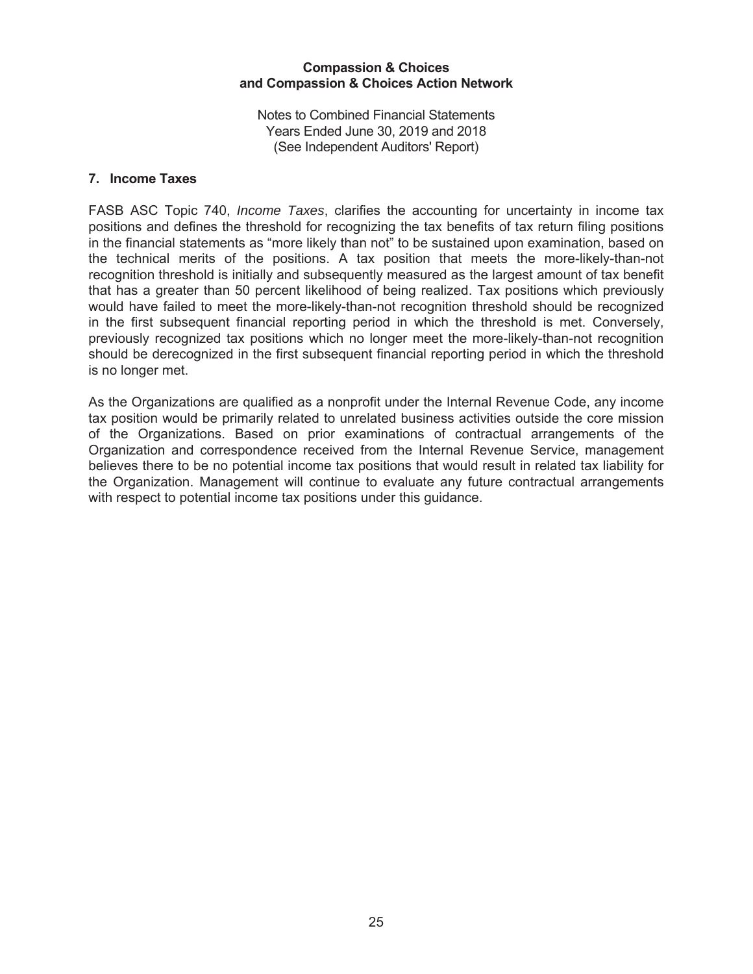Notes to Combined Financial Statements Years Ended June 30, 2019 and 2018 (See Independent Auditors' Report)

## 7. Income Taxes

FASB ASC Topic 740, *Income Taxes*, clarifies the accounting for uncertainty in income tax positions and defines the threshold for recognizing the tax benefits of tax return filing positions in the financial statements as "more likely than not" to be sustained upon examination, based on the technical merits of the positions. A tax position that meets the more-likely-than-not recognition threshold is initially and subsequently measured as the largest amount of tax benefit that has a greater than 50 percent likelihood of being realized. Tax positions which previously would have failed to meet the more-likely-than-not recognition threshold should be recognized in the first subsequent financial reporting period in which the threshold is met. Conversely, previously recognized tax positions which no longer meet the more-likely-than-not recognition should be derecognized in the first subsequent financial reporting period in which the threshold is no longer met.

As the Organizations are qualified as a nonprofit under the Internal Revenue Code, any income tax position would be primarily related to unrelated business activities outside the core mission of the Organizations. Based on prior examinations of contractual arrangements of the Organization and correspondence received from the Internal Revenue Service, management believes there to be no potential income tax positions that would result in related tax liability for the Organization. Management will continue to evaluate any future contractual arrangements with respect to potential income tax positions under this guidance.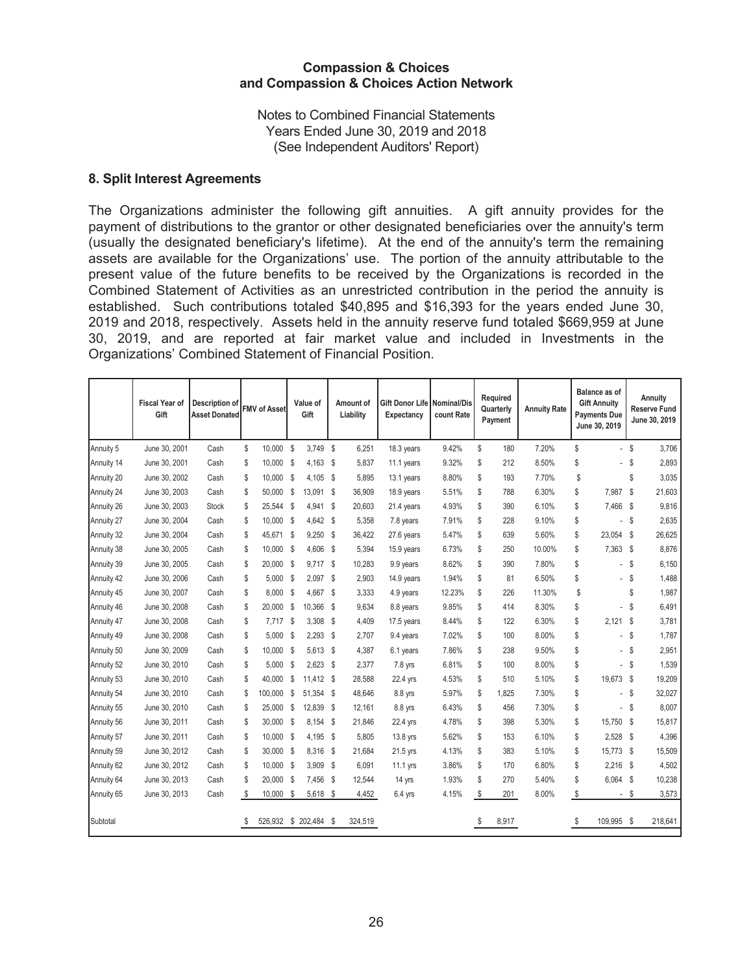Notes to Combined Financial Statements Years Ended June 30, 2019 and 2018 (See Independent Auditors' Report)

### 8. Split Interest Agreements

The Organizations administer the following gift annuities. A gift annuity provides for the payment of distributions to the grantor or other designated beneficiaries over the annuity's term (usually the designated beneficiary's lifetime). At the end of the annuity's term the remaining assets are available for the Organizations' use. The portion of the annuity attributable to the present value of the future benefits to be received by the Organizations is recorded in the Combined Statement of Activities as an unrestricted contribution in the period the annuity is established. Such contributions totaled \$40,895 and \$16,393 for the years ended June 30, 2019 and 2018, respectively. Assets held in the annuity reserve fund totaled \$669,959 at June 30, 2019, and are reported at fair market value and included in Investments in the Organizations' Combined Statement of Financial Position.

|            | <b>Fiscal Year of</b><br>Gift | Description of<br><b>Asset Donated</b> | <b>FMV of Asset</b> |          | Value of<br>Gift   | Amount of<br>Liability |         | Gift Donor Life   Nominal/Dis<br>Expectancy | count Rate | Required<br>Quarterly<br>Payment | <b>Annuity Rate</b> | Balance as of<br><b>Gift Annuity</b><br><b>Payments Due</b><br>June 30, 2019 |      | Annuity<br><b>Reserve Fund</b><br>June 30, 2019 |
|------------|-------------------------------|----------------------------------------|---------------------|----------|--------------------|------------------------|---------|---------------------------------------------|------------|----------------------------------|---------------------|------------------------------------------------------------------------------|------|-------------------------------------------------|
| Annuity 5  | June 30, 2001                 | Cash                                   | \$<br>10,000        |          | 3,749 \$<br>\$     |                        | 6,251   | 18.3 years                                  | 9.42%      | \$<br>180                        | 7.20%               | \$                                                                           | - \$ | 3,706                                           |
| Annuity 14 | June 30, 2001                 | Cash                                   | \$<br>10,000        | - \$     | 4,163 \$           |                        | 5,837   | 11.1 years                                  | 9.32%      | \$<br>212                        | 8.50%               | \$                                                                           | \$   | 2,893                                           |
| Annuity 20 | June 30, 2002                 | Cash                                   | \$<br>10,000        |          | \$<br>$4,105$ \$   |                        | 5,895   | 13.1 years                                  | 8.80%      | \$<br>193                        | 7.70%               | \$                                                                           | \$   | 3,035                                           |
| Annuity 24 | June 30, 2003                 | Cash                                   | \$<br>50,000        |          | \$<br>13,091       | \$                     | 36,909  | 18.9 years                                  | 5.51%      | \$<br>788                        | 6.30%               | \$<br>7,987                                                                  | \$   | 21,603                                          |
| Annuity 26 | June 30, 2003                 | Stock                                  | \$<br>25,544 \$     |          | 4,941 \$           |                        | 20,603  | 21.4 years                                  | 4.93%      | \$<br>390                        | 6.10%               | \$<br>7,466                                                                  | \$   | 9,816                                           |
| Annuity 27 | June 30, 2004                 | Cash                                   | \$<br>$10,000$ \$   |          | 4,642 \$           |                        | 5,358   | 7.8 years                                   | 7.91%      | \$<br>228                        | 9.10%               | \$<br>$\blacksquare$                                                         | - \$ | 2,635                                           |
| Annuity 32 | June 30, 2004                 | Cash                                   | \$<br>45,671        |          | $9,250$ \$<br>-\$  |                        | 36,422  | 27.6 years                                  | 5.47%      | \$<br>639                        | 5.60%               | \$<br>23,054 \$                                                              |      | 26,625                                          |
| Annuity 38 | June 30, 2005                 | Cash                                   | \$<br>10,000 \$     |          | 4,606 \$           |                        | 5,394   | 15.9 years                                  | 6.73%      | \$<br>250                        | 10.00%              | \$<br>7,363                                                                  | - \$ | 8,876                                           |
| Annuity 39 | June 30, 2005                 | Cash                                   | \$<br>20,000        | - \$     | 9,717              | \$                     | 10,283  | 9.9 years                                   | 8.62%      | \$<br>390                        | 7.80%               | \$<br>$\overline{\phantom{a}}$                                               | -\$  | 6,150                                           |
| Annuity 42 | June 30, 2006                 | Cash                                   | \$<br>5,000         |          | -\$<br>$2,097$ \$  |                        | 2,903   | 14.9 years                                  | 1.94%      | \$<br>81                         | 6.50%               | \$<br>$\sim$                                                                 | \$   | 1,488                                           |
| Annuity 45 | June 30, 2007                 | Cash                                   | \$<br>8,000         |          | $\,$<br>4,667      | S                      | 3,333   | 4.9 years                                   | 12.23%     | \$<br>226                        | 11.30%              | \$                                                                           | \$   | 1,987                                           |
| Annuity 46 | June 30, 2008                 | Cash                                   | \$<br>20,000        |          | -\$<br>10,366      | S                      | 9,634   | 8.8 years                                   | 9.85%      | \$<br>414                        | 8.30%               | \$                                                                           | \$   | 6,491                                           |
| Annuity 47 | June 30, 2008                 | Cash                                   | \$                  | 7,717 \$ | 3,308              | S                      | 4,409   | 17.5 years                                  | 8.44%      | \$<br>122                        | 6.30%               | \$<br>2,121                                                                  | - \$ | 3,781                                           |
| Annuity 49 | June 30, 2008                 | Cash                                   | \$<br>5,000         |          | 2,293<br>-\$       | S                      | 2,707   | 9.4 years                                   | 7.02%      | \$<br>100                        | 8.00%               | \$<br>$\sim$                                                                 | \$   | 1,787                                           |
| Annuity 50 | June 30, 2009                 | Cash                                   | \$<br>10,000        |          | -\$<br>5,613       | S                      | 4,387   | 6.1 years                                   | 7.86%      | \$<br>238                        | 9.50%               | \$<br>$\blacksquare$                                                         | \$   | 2,951                                           |
| Annuity 52 | June 30, 2010                 | Cash                                   | \$<br>5.000         |          | - \$<br>$2,623$ \$ |                        | 2,377   | 7.8 yrs                                     | 6.81%      | \$<br>100                        | 8.00%               | \$<br>$\sim$                                                                 | \$   | 1,539                                           |
| Annuity 53 | June 30, 2010                 | Cash                                   | \$<br>40.000        |          | 11,412 \$<br>\$    |                        | 28,588  | 22.4 yrs                                    | 4.53%      | \$<br>510                        | 5.10%               | \$<br>19,673 \$                                                              |      | 19,209                                          |
| Annuity 54 | June 30, 2010                 | Cash                                   | \$<br>100,000       |          | \$<br>51,354       | S                      | 48,646  | 8.8 yrs                                     | 5.97%      | \$<br>1,825                      | 7.30%               | \$<br>$\overline{\phantom{a}}$                                               | - \$ | 32,027                                          |
| Annuity 55 | June 30, 2010                 | Cash                                   | \$<br>25,000        |          | S.<br>12,839       | \$                     | 12,161  | 8.8 yrs                                     | 6.43%      | \$<br>456                        | 7.30%               | \$<br>$\sim$                                                                 | \$   | 8,007                                           |
| Annuity 56 | June 30, 2011                 | Cash                                   | \$<br>30.000        |          | - \$<br>8.154      | S                      | 21,846  | 22.4 yrs                                    | 4.78%      | \$<br>398                        | 5.30%               | \$<br>15.750                                                                 | - \$ | 15,817                                          |
| Annuity 57 | June 30, 2011                 | Cash                                   | \$<br>10,000        | - \$     | 4,195 \$           |                        | 5,805   | 13.8 yrs                                    | 5.62%      | \$<br>153                        | 6.10%               | \$<br>2,528                                                                  | - \$ | 4,396                                           |
| Annuity 59 | June 30, 2012                 | Cash                                   | \$<br>30,000 \$     |          | 8,316              | \$                     | 21,684  | 21.5 yrs                                    | 4.13%      | \$<br>383                        | 5.10%               | \$<br>15,773 \$                                                              |      | 15,509                                          |
| Annuity 62 | June 30, 2012                 | Cash                                   | \$<br>10.000 \$     |          | 3,909              | <b>S</b>               | 6,091   | 11.1 yrs                                    | 3.86%      | \$<br>170                        | 6.80%               | \$<br>2,216                                                                  | - \$ | 4,502                                           |
| Annuity 64 | June 30, 2013                 | Cash                                   | \$<br>20,000 \$     |          | 7,456              | $\mathbb{S}$           | 12,544  | 14 yrs                                      | 1.93%      | \$<br>270                        | 5.40%               | \$<br>6,064 \$                                                               |      | 10,238                                          |
| Annuity 65 | June 30, 2013                 | Cash                                   | \$<br>$10,000$ \$   |          | 5,618 \$           |                        | 4,452   | $6.4$ yrs                                   | 4.15%      | \$<br>201                        | 8.00%               | \$                                                                           | - \$ | 3,573                                           |
| Subtotal   |                               |                                        | 526,932             |          | \$<br>202,484      | S.                     | 324,519 |                                             |            | \$<br>8,917                      |                     | \$<br>109,995                                                                | -\$  | 218,641                                         |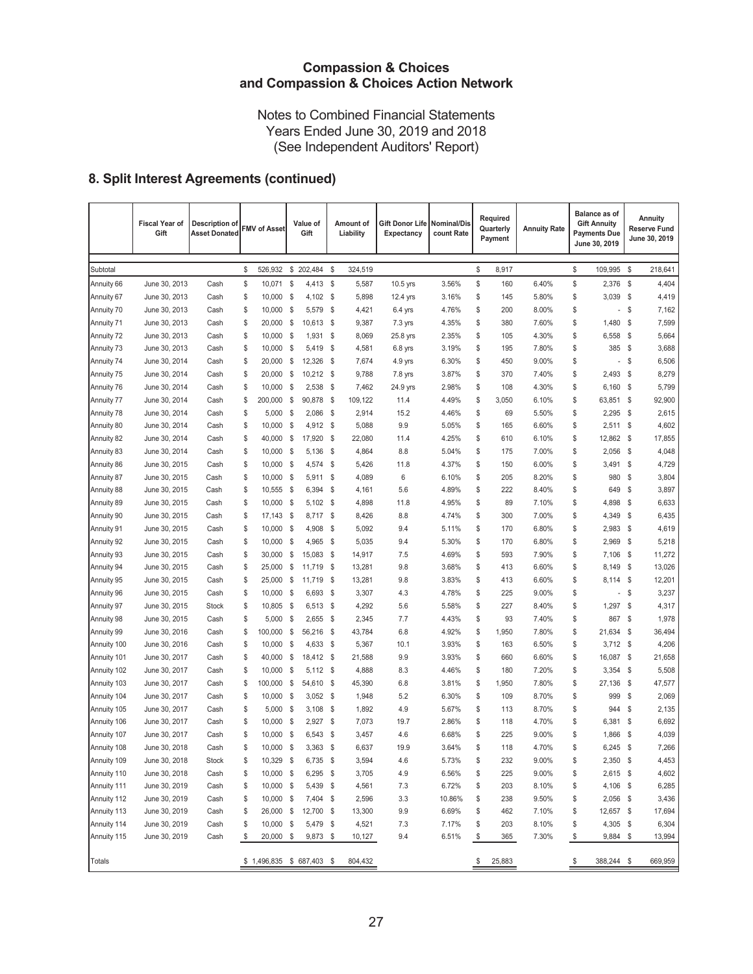Notes to Combined Financial Statements Years Ended June 30, 2019 and 2018 (See Independent Auditors' Report)

# 8. Split Interest Agreements (continued)

|               | <b>Fiscal Year of</b><br>Gift | Description of<br><b>Asset Donated</b> | <b>FMV of Asset</b>      |      | Value of<br>Gift |      | Amount of<br>Liability | Gift Donor Life<br>Expectancy | <b>Nominal/Dis</b><br>count Rate | Required<br>Quarterly<br>Payment | <b>Annuity Rate</b> | Balance as of<br><b>Gift Annuity</b><br><b>Payments Due</b><br>June 30, 2019 | <b>Annuity</b><br><b>Reserve Fund</b><br>June 30, 2019 |
|---------------|-------------------------------|----------------------------------------|--------------------------|------|------------------|------|------------------------|-------------------------------|----------------------------------|----------------------------------|---------------------|------------------------------------------------------------------------------|--------------------------------------------------------|
| Subtotal      |                               |                                        | \$<br>526,932            | \$   | 202,484          | \$   | 324,519                |                               |                                  | \$<br>8,917                      |                     | \$<br>109,995                                                                | \$<br>218,641                                          |
| Annuity 66    | June 30, 2013                 | Cash                                   | \$<br>10,071             | \$   | 4,413            | \$   | 5,587                  | 10.5 yrs                      | 3.56%                            | \$<br>160                        | 6.40%               | \$<br>2,376                                                                  | \$<br>4,404                                            |
| Annuity 67    | June 30, 2013                 | Cash                                   | \$<br>10,000             | \$   | $4,102$ \$       |      | 5,898                  | 12.4 yrs                      | 3.16%                            | \$<br>145                        | 5.80%               | \$<br>3,039                                                                  | \$<br>4,419                                            |
| Annuity 70    | June 30, 2013                 | Cash                                   | \$<br>10,000             | \$   | 5,579            | \$   | 4,421                  | $6.4$ yrs                     | 4.76%                            | \$<br>200                        | 8.00%               | \$<br>$\overline{\phantom{a}}$                                               | \$<br>7,162                                            |
| Annuity 71    | June 30, 2013                 | Cash                                   | \$<br>20,000             | \$   | 10,613           | \$   | 9,387                  | 7.3 yrs                       | 4.35%                            | \$<br>380                        | 7.60%               | \$<br>1,480                                                                  | \$<br>7,599                                            |
| Annuity 72    | June 30, 2013                 | Cash                                   | \$<br>10,000             | - \$ | 1,931            | \$   | 8,069                  | 25.8 yrs                      | 2.35%                            | \$<br>105                        | 4.30%               | \$<br>6,558                                                                  | \$<br>5,664                                            |
| Annuity 73    | June 30, 2013                 | Cash                                   | \$<br>10,000             | \$   | 5,419            | \$   | 4,581                  | 6.8 yrs                       | 3.19%                            | \$<br>195                        | 7.80%               | \$<br>385                                                                    | \$<br>3,688                                            |
| Annuity 74    | June 30, 2014                 | Cash                                   | \$<br>20,000             | \$   | 12,326           | \$   | 7,674                  | 4.9 yrs                       | 6.30%                            | \$<br>450                        | 9.00%               | \$<br>$\overline{\phantom{a}}$                                               | \$<br>6,506                                            |
| Annuity 75    | June 30, 2014                 | Cash                                   | \$<br>20,000             | - \$ | 10,212 \$        |      | 9,788                  | 7.8 yrs                       | 3.87%                            | \$<br>370                        | 7.40%               | \$<br>2,493                                                                  | \$<br>8,279                                            |
| Annuity 76    | June 30, 2014                 | Cash                                   | \$<br>10,000             | \$   | 2,538            | \$   | 7,462                  | 24.9 yrs                      | 2.98%                            | \$<br>108                        | 4.30%               | \$<br>6,160                                                                  | \$<br>5,799                                            |
| Annuity 77    | June 30, 2014                 | Cash                                   | \$<br>200,000            | \$   | 90,878           | \$   | 109,122                | 11.4                          | 4.49%                            | \$<br>3,050                      | 6.10%               | \$<br>63,851                                                                 | \$<br>92,900                                           |
| Annuity 78    | June 30, 2014                 | Cash                                   | \$<br>5,000              | \$   | 2,086            | \$   | 2,914                  | 15.2                          | 4.46%                            | \$<br>69                         | 5.50%               | \$<br>2,295                                                                  | \$<br>2,615                                            |
| Annuity 80    | June 30, 2014                 | Cash                                   | \$<br>10,000             | \$   | 4,912            | \$   | 5,088                  | 9.9                           | 5.05%                            | \$<br>165                        | 6.60%               | \$<br>$2,511$ \$                                                             | 4,602                                                  |
| Annuity 82    | June 30, 2014                 | Cash                                   | \$<br>40,000             | \$   | 17,920           | \$   | 22,080                 | 11.4                          | 4.25%                            | \$<br>610                        | 6.10%               | \$<br>12,862                                                                 | \$<br>17,855                                           |
| Annuity 83    | June 30, 2014                 | Cash                                   | \$<br>10,000             | \$   | 5,136            | \$   | 4,864                  | 8.8                           | 5.04%                            | \$<br>175                        | 7.00%               | \$<br>2,056                                                                  | \$<br>4,048                                            |
| Annuity 86    | June 30, 2015                 | Cash                                   | \$<br>10,000             | \$   | 4,574            | \$   | 5,426                  | 11.8                          | 4.37%                            | \$<br>150                        | 6.00%               | \$<br>3,491                                                                  | \$<br>4,729                                            |
| Annuity 87    | June 30, 2015                 | Cash                                   | \$<br>10,000             | - \$ | 5,911            | \$   | 4,089                  | 6                             | 6.10%                            | \$<br>205                        | 8.20%               | \$<br>980                                                                    | \$<br>3,804                                            |
| Annuity 88    | June 30, 2015                 | Cash                                   | \$<br>10,555             | - \$ | 6,394            | \$   | 4,161                  | 5.6                           | 4.89%                            | \$<br>222                        | 8.40%               | \$<br>649                                                                    | \$<br>3,897                                            |
| Annuity 89    | June 30, 2015                 | Cash                                   | \$<br>10,000             | \$   | $5,102$ \$       |      | 4,898                  | 11.8                          | 4.95%                            | \$<br>89                         | 7.10%               | \$<br>4,898                                                                  | \$<br>6,633                                            |
| Annuity 90    | June 30, 2015                 | Cash                                   | \$<br>17,143             | - \$ | 8,717 \$         |      | 8,426                  | 8.8                           | 4.74%                            | \$<br>300                        | 7.00%               | \$<br>4,349                                                                  | \$<br>6,435                                            |
| Annuity 91    | June 30, 2015                 | Cash                                   | \$<br>10,000             | - \$ | 4,908            | - \$ | 5,092                  | 9.4                           | 5.11%                            | \$<br>170                        | 6.80%               | \$<br>$2,983$ \$                                                             | 4,619                                                  |
| Annuity 92    | June 30, 2015                 | Cash                                   | \$<br>10,000             | \$   | 4,965            | - \$ | 5,035                  | 9.4                           | 5.30%                            | \$<br>170                        | 6.80%               | \$<br>2,969                                                                  | \$<br>5,218                                            |
| Annuity 93    | June 30, 2015                 | Cash                                   | \$<br>30,000             | \$   | 15,083           | \$   | 14,917                 | 7.5                           | 4.69%                            | \$<br>593                        | 7.90%               | \$<br>7,106                                                                  | \$<br>11,272                                           |
| Annuity 94    | June 30, 2015                 | Cash                                   | \$<br>25,000             | \$   | 11,719           | \$   | 13,281                 | 9.8                           | 3.68%                            | \$<br>413                        | 6.60%               | \$<br>8,149                                                                  | \$<br>13,026                                           |
| Annuity 95    | June 30, 2015                 | Cash                                   | \$<br>25,000             | \$   | 11,719           | - \$ | 13,281                 | 9.8                           | 3.83%                            | \$<br>413                        | 6.60%               | \$<br>$8,114$ \$                                                             | 12,201                                                 |
| Annuity 96    | June 30, 2015                 | Cash                                   | \$<br>10,000             | - \$ | 6,693            | - \$ | 3,307                  | 4.3                           | 4.78%                            | \$<br>225                        | 9.00%               | \$<br>$\overline{\phantom{a}}$                                               | \$<br>3,237                                            |
| Annuity 97    | June 30, 2015                 | <b>Stock</b>                           | \$<br>10,805             | - \$ | 6,513            | \$   | 4,292                  | 5.6                           | 5.58%                            | \$<br>227                        | 8.40%               | \$<br>1,297                                                                  | \$<br>4,317                                            |
| Annuity 98    | June 30, 2015                 | Cash                                   | \$<br>5,000              | \$   | 2,655            | \$   | 2,345                  | 7.7                           | 4.43%                            | \$<br>93                         | 7.40%               | \$<br>867                                                                    | \$<br>1,978                                            |
| Annuity 99    | June 30, 2016                 | Cash                                   | \$<br>100,000            | \$   | 56,216           | \$   | 43,784                 | 6.8                           | 4.92%                            | \$<br>1,950                      | 7.80%               | \$<br>21,634                                                                 | \$<br>36,494                                           |
| Annuity 100   | June 30, 2016                 | Cash                                   | \$<br>10,000             | - \$ | 4,633            | - \$ | 5,367                  | 10.1                          | 3.93%                            | \$<br>163                        | 6.50%               | \$<br>$3,712$ \$                                                             | 4,206                                                  |
| Annuity 101   | June 30, 2017                 | Cash                                   | \$<br>40,000             | \$   | 18,412           | \$   | 21,588                 | 9.9                           | 3.93%                            | \$<br>660                        | 6.60%               | \$<br>16,087                                                                 | \$<br>21,658                                           |
| Annuity 102   | June 30, 2017                 | Cash                                   | \$<br>10,000             | \$   | 5,112            | - \$ | 4,888                  | 8.3                           | 4.46%                            | \$<br>180                        | 7.20%               | \$<br>3,354                                                                  | \$<br>5,508                                            |
| Annuity 103   | June 30, 2017                 | Cash                                   | \$<br>100,000            | \$   | 54,610           | \$   | 45,390                 | 6.8                           | 3.81%                            | \$<br>1,950                      | 7.80%               | \$<br>27,136 \$                                                              | 47,577                                                 |
| Annuity 104   | June 30, 2017                 | Cash                                   | \$<br>10,000             | \$   | 3,052            | \$   | 1,948                  | 5.2                           | 6.30%                            | \$<br>109                        | 8.70%               | \$<br>999                                                                    | \$<br>2,069                                            |
| Annuity 105   | June 30, 2017                 | Cash                                   | \$<br>5,000              | \$   | 3,108            | \$   | 1,892                  | 4.9                           | 5.67%                            | \$<br>113                        | 8.70%               | \$<br>944                                                                    | \$<br>2,135                                            |
| Annuity 106   | June 30, 2017                 | Cash                                   | \$<br>10,000             | \$   | 2,927            | \$   | 7,073                  | 19.7                          | 2.86%                            | \$<br>118                        | 4.70%               | \$<br>6,381                                                                  | \$<br>6,692                                            |
| Annuity 107   | June 30, 2017                 | Cash                                   | \$<br>10,000             | \$   | 6,543            | \$   | 3,457                  | 4.6                           | 6.68%                            | \$<br>225                        | 9.00%               | \$<br>1,866                                                                  | \$<br>4,039                                            |
| Annuity 108   | June 30, 2018                 | Cash                                   | \$<br>10,000             | \$   | 3,363            | \$   | 6,637                  | 19.9                          | 3.64%                            | \$<br>118                        | 4.70%               | \$<br>6,245                                                                  | \$<br>7,266                                            |
| Annuity 109   | June 30, 2018                 | Stock                                  | \$<br>10,329 \$          |      | 6,735 \$         |      | 3,594                  | 4.6                           | 5.73%                            | \$<br>232                        | 9.00%               | \$<br>2,350 \$                                                               | 4,453                                                  |
| Annuity 110   | June 30, 2018                 | Cash                                   | \$<br>10,000 \$          |      | $6,295$ \$       |      | 3,705                  | 4.9                           | 6.56%                            | \$<br>225                        | 9.00%               | \$<br>2,615 \$                                                               | 4,602                                                  |
| Annuity 111   | June 30, 2019                 | Cash                                   | \$<br>10,000 \$          |      | 5,439 \$         |      | 4,561                  | 7.3                           | 6.72%                            | \$<br>203                        | 8.10%               | \$<br>4,106 \$                                                               | 6,285                                                  |
| Annuity 112   | June 30, 2019                 | Cash                                   | \$<br>10,000 \$          |      | 7,404 \$         |      | 2,596                  | 3.3                           | 10.86%                           | \$<br>238                        | 9.50%               | \$<br>2,056 \$                                                               | 3,436                                                  |
| Annuity 113   | June 30, 2019                 | Cash                                   | \$<br>26,000 \$          |      | 12,700 \$        |      | 13,300                 | 9.9                           | 6.69%                            | \$<br>462                        | 7.10%               | \$<br>12,657 \$                                                              | 17,694                                                 |
| Annuity 114   | June 30, 2019                 | Cash                                   | \$<br>10,000 \$          |      | 5,479 \$         |      | 4,521                  | 7.3                           | 7.17%                            | \$<br>203                        | 8.10%               | \$<br>4,305 \$                                                               | 6,304                                                  |
| Annuity 115   | June 30, 2019                 | Cash                                   | \$<br>20,000 \$          |      | 9,873 \$         |      | 10,127                 | 9.4                           | 6.51%                            | \$<br>365                        | 7.30%               | \$<br>9,884                                                                  | \$<br>13,994                                           |
| <b>Totals</b> |                               |                                        | \$1,496,835 \$687,403 \$ |      |                  |      | 804,432                |                               |                                  | \$<br>25,883                     |                     | \$<br>388,244 \$                                                             | 669,959                                                |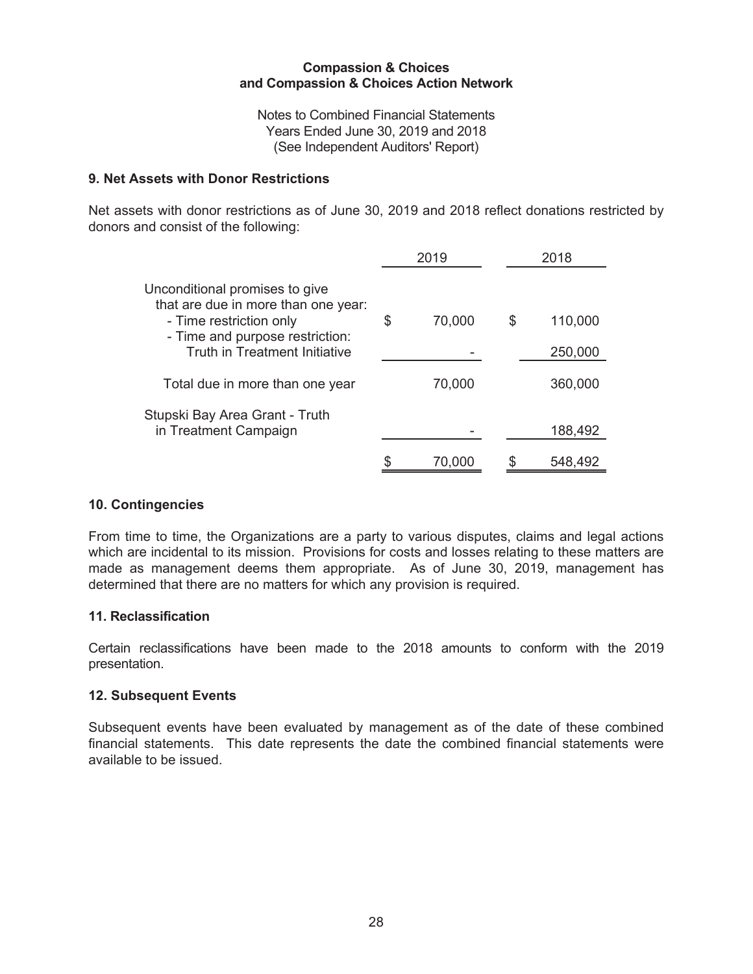Notes to Combined Financial Statements Years Ended June 30, 2019 and 2018 (See Independent Auditors' Report)

## 9. Net Assets with Donor Restrictions

Net assets with donor restrictions as of June 30, 2019 and 2018 reflect donations restricted by donors and consist of the following:

|                                                                                                                                                                             |   | 2019   |   | 2018               |
|-----------------------------------------------------------------------------------------------------------------------------------------------------------------------------|---|--------|---|--------------------|
| Unconditional promises to give<br>that are due in more than one year:<br>- Time restriction only<br>- Time and purpose restriction:<br><b>Truth in Treatment Initiative</b> | S | 70,000 | S | 110,000<br>250,000 |
| Total due in more than one year                                                                                                                                             |   | 70,000 |   | 360,000            |
| Stupski Bay Area Grant - Truth<br>in Treatment Campaign                                                                                                                     |   |        |   | 188,492            |
|                                                                                                                                                                             |   | 70,000 |   | 548,492            |

# 10. Contingencies

From time to time, the Organizations are a party to various disputes, claims and legal actions which are incidental to its mission. Provisions for costs and losses relating to these matters are made as management deems them appropriate. As of June 30, 2019, management has determined that there are no matters for which any provision is required.

### 11. Reclassification

Certain reclassifications have been made to the 2018 amounts to conform with the 2019 presentation.

#### 12. Subsequent Events

Subsequent events have been evaluated by management as of the date of these combined financial statements. This date represents the date the combined financial statements were available to be issued.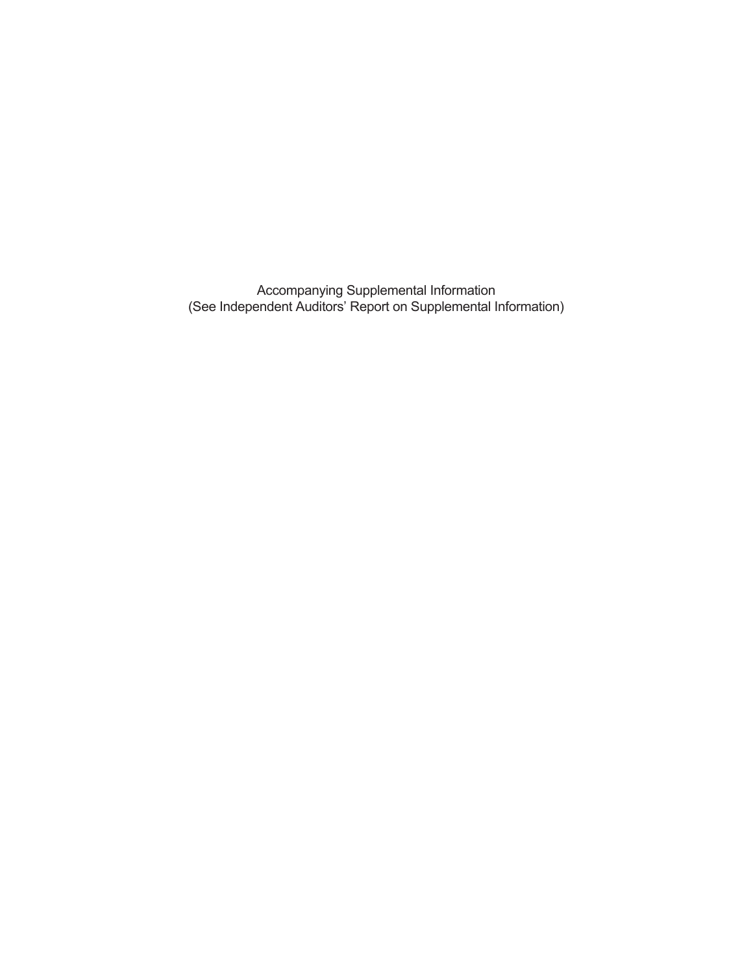Accompanying Supplemental Information<br>(See Independent Auditors' Report on Supplemental Information)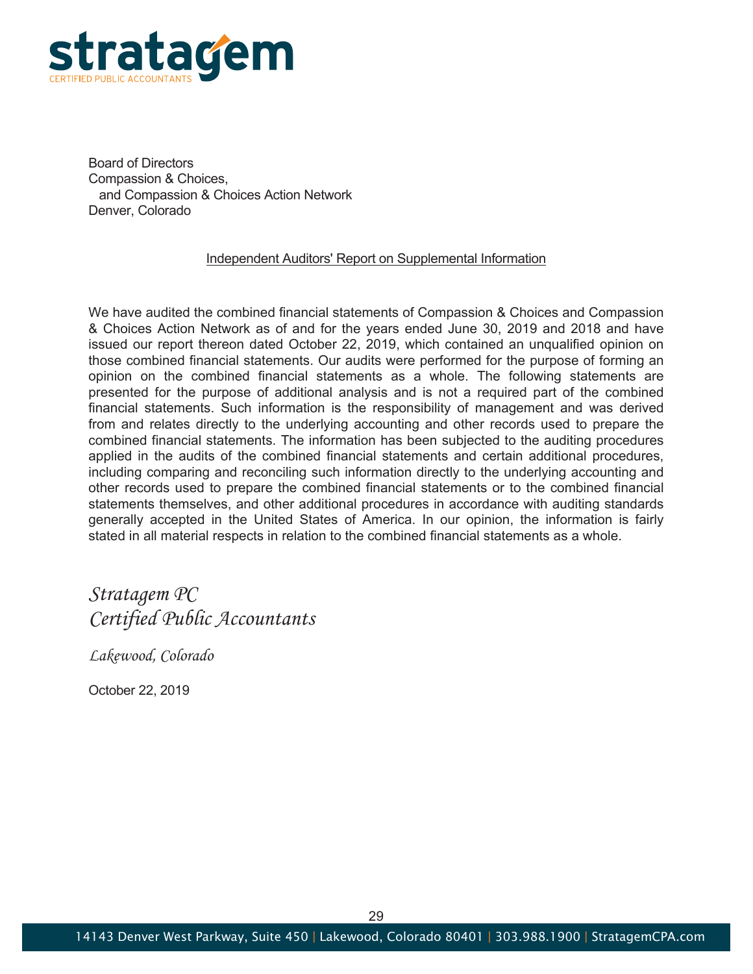

Board of Directors Compassion & Choices. and Compassion & Choices Action Network Denver, Colorado

#### Independent Auditors' Report on Supplemental Information

We have audited the combined financial statements of Compassion & Choices and Compassion & Choices Action Network as of and for the years ended June 30, 2019 and 2018 and have issued our report thereon dated October 22, 2019, which contained an unqualified opinion on those combined financial statements. Our audits were performed for the purpose of forming an opinion on the combined financial statements as a whole. The following statements are presented for the purpose of additional analysis and is not a required part of the combined financial statements. Such information is the responsibility of management and was derived from and relates directly to the underlying accounting and other records used to prepare the combined financial statements. The information has been subjected to the auditing procedures applied in the audits of the combined financial statements and certain additional procedures, including comparing and reconciling such information directly to the underlying accounting and other records used to prepare the combined financial statements or to the combined financial statements themselves, and other additional procedures in accordance with auditing standards generally accepted in the United States of America. In our opinion, the information is fairly stated in all material respects in relation to the combined financial statements as a whole.

# Stratagem PC Certified Public Accountants

Lakewood, Colorado

October 22, 2019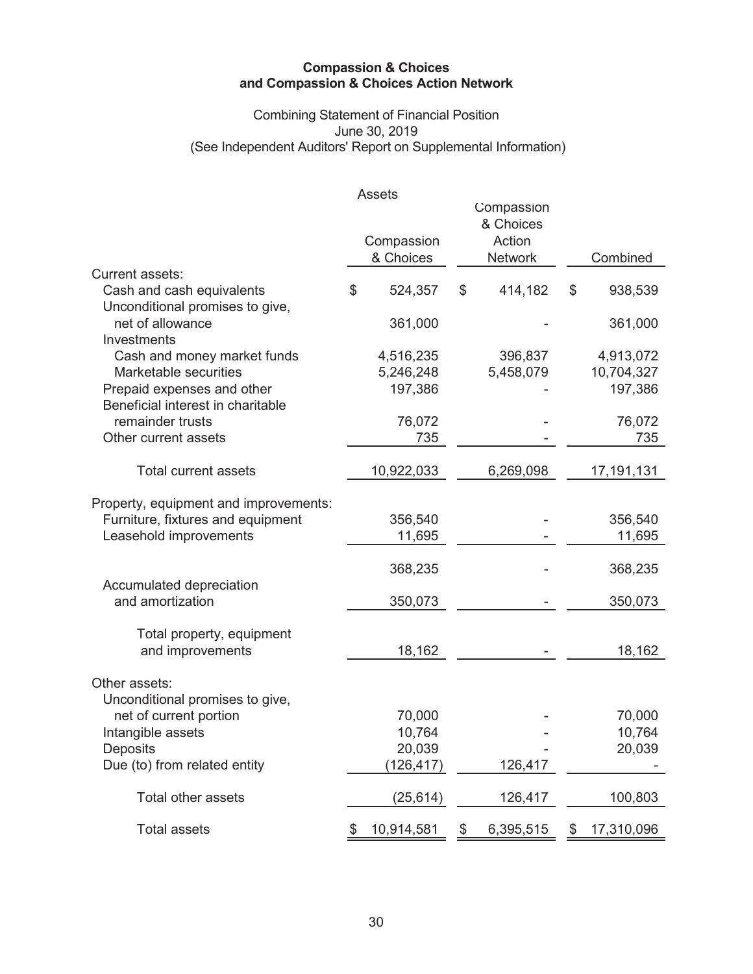# Combining Statement of Financial Position<br>June 30, 2019 (See Independent Auditors' Report on Supplemental Information)

|                                                                    | <b>Assets</b><br>Compassion<br>& Choices | Compassion<br>& Choices<br>Action<br><b>Network</b> | Combined         |
|--------------------------------------------------------------------|------------------------------------------|-----------------------------------------------------|------------------|
| <b>Current assets:</b>                                             |                                          |                                                     |                  |
| Cash and cash equivalents                                          | \$<br>524,357                            | \$<br>414,182                                       | \$<br>938,539    |
| Unconditional promises to give,<br>net of allowance<br>Investments | 361,000                                  |                                                     | 361,000          |
| Cash and money market funds                                        | 4,516,235                                | 396,837                                             | 4,913,072        |
| Marketable securities                                              | 5,246,248                                | 5,458,079                                           | 10,704,327       |
| Prepaid expenses and other                                         | 197,386                                  |                                                     | 197,386          |
| Beneficial interest in charitable<br>remainder trusts              |                                          |                                                     |                  |
| Other current assets                                               | 76,072<br>735                            |                                                     | 76,072<br>735    |
|                                                                    |                                          |                                                     |                  |
| <b>Total current assets</b>                                        | 10,922,033                               | 6,269,098                                           | 17,191,131       |
| Property, equipment and improvements:                              |                                          |                                                     |                  |
| Furniture, fixtures and equipment                                  | 356,540                                  |                                                     | 356,540          |
| Leasehold improvements                                             | 11,695                                   |                                                     | 11,695           |
|                                                                    |                                          |                                                     |                  |
|                                                                    | 368,235                                  |                                                     | 368,235          |
| Accumulated depreciation                                           |                                          |                                                     |                  |
| and amortization                                                   | 350,073                                  |                                                     | 350,073          |
| Total property, equipment                                          |                                          |                                                     |                  |
| and improvements                                                   | 18,162                                   |                                                     | 18,162           |
|                                                                    |                                          |                                                     |                  |
| Other assets:                                                      |                                          |                                                     |                  |
| Unconditional promises to give,                                    |                                          |                                                     |                  |
| net of current portion                                             | 70,000                                   |                                                     | 70,000           |
| Intangible assets                                                  | 10,764<br>20,039                         |                                                     | 10,764           |
| Deposits<br>Due (to) from related entity                           |                                          | 126,417                                             | 20,039           |
|                                                                    | (126, 417)                               |                                                     |                  |
| Total other assets                                                 | (25, 614)                                | 126,417                                             | 100,803          |
| <b>Total assets</b>                                                | \$<br>10,914,581                         | \$<br>6,395,515                                     | \$<br>17,310,096 |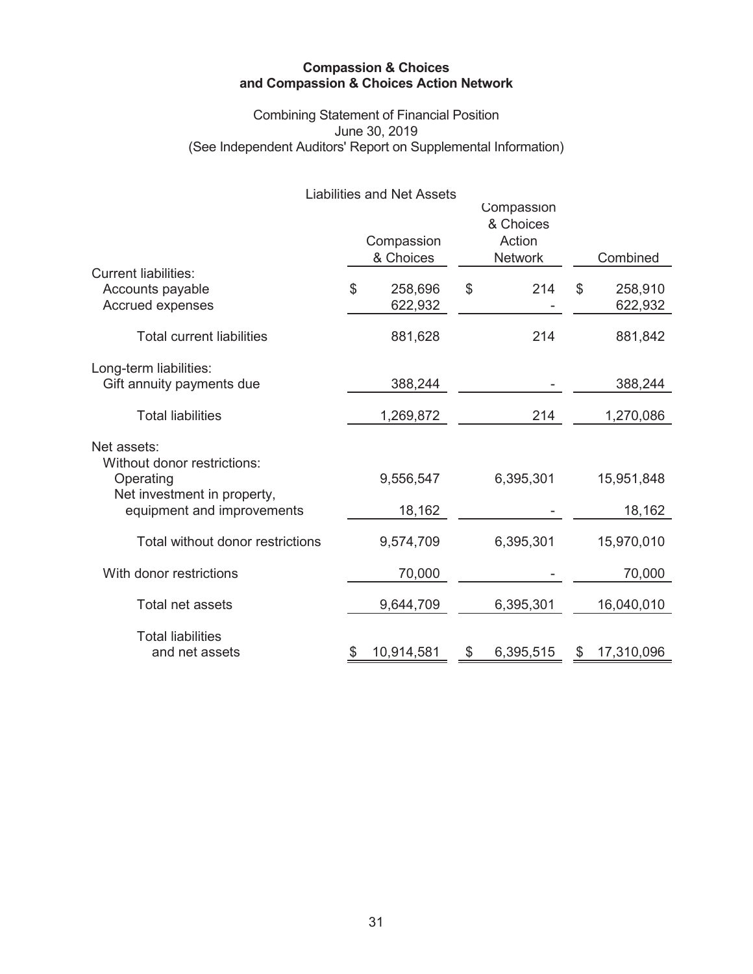# Combining Statement of Financial Position<br>June 30, 2019 (See Independent Auditors' Report on Supplemental Information)

|                                  | <b>Liabilities and Net Assets</b> |                         |                  |
|----------------------------------|-----------------------------------|-------------------------|------------------|
|                                  |                                   | Compassion<br>& Choices |                  |
|                                  | Compassion                        | Action                  |                  |
|                                  | & Choices                         | <b>Network</b>          | Combined         |
| <b>Current liabilities:</b>      |                                   |                         |                  |
| Accounts payable                 | \$<br>258,696                     | \$<br>214               | \$<br>258,910    |
| Accrued expenses                 | 622,932                           |                         | 622,932          |
|                                  |                                   |                         |                  |
| <b>Total current liabilities</b> | 881,628                           | 214                     | 881,842          |
|                                  |                                   |                         |                  |
| Long-term liabilities:           |                                   |                         |                  |
| Gift annuity payments due        | 388,244                           |                         | 388,244          |
|                                  |                                   |                         |                  |
| <b>Total liabilities</b>         | 1,269,872                         | 214                     | 1,270,086        |
| Net assets:                      |                                   |                         |                  |
| Without donor restrictions:      |                                   |                         |                  |
| Operating                        | 9,556,547                         | 6,395,301               | 15,951,848       |
| Net investment in property,      |                                   |                         |                  |
| equipment and improvements       | 18,162                            |                         | 18,162           |
|                                  |                                   |                         |                  |
| Total without donor restrictions | 9,574,709                         | 6,395,301               | 15,970,010       |
|                                  |                                   |                         |                  |
| With donor restrictions          | 70,000                            |                         | 70,000           |
|                                  |                                   |                         |                  |
| Total net assets                 | 9,644,709                         | 6,395,301               | 16,040,010       |
|                                  |                                   |                         |                  |
| <b>Total liabilities</b>         |                                   |                         |                  |
| and net assets                   | 10,914,581                        | \$<br>6,395,515         | \$<br>17,310,096 |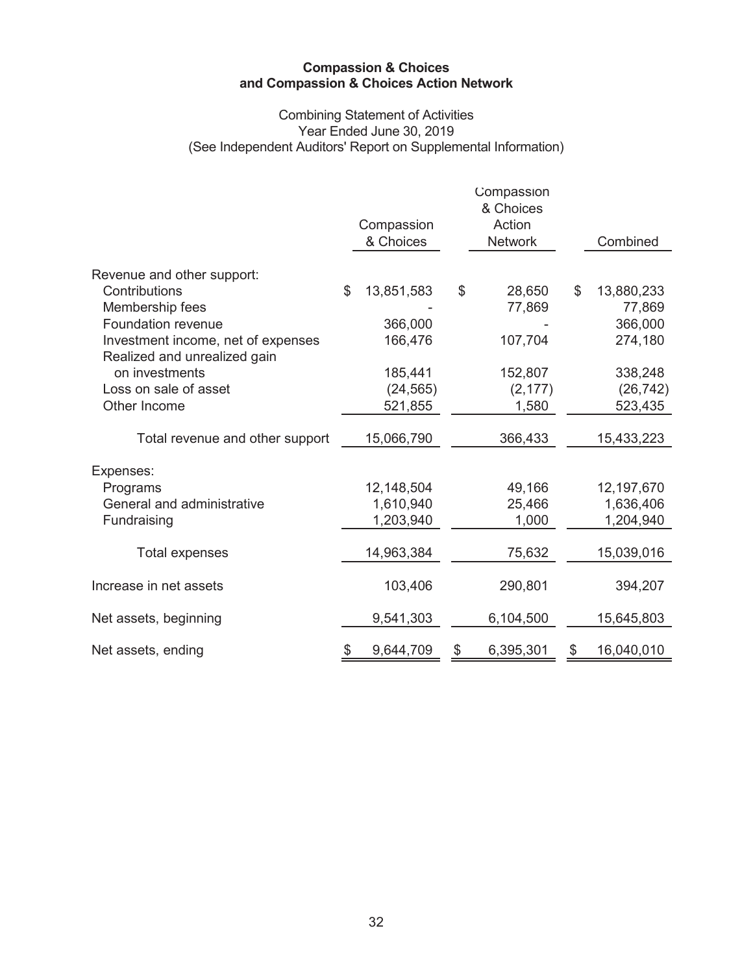# Combining Statement of Activities<br>Year Ended June 30, 2019 (See Independent Auditors' Report on Supplemental Information)

|                                    | Compassion<br>& Choices | Compassion<br>& Choices<br>Action<br><b>Network</b> | Combined         |
|------------------------------------|-------------------------|-----------------------------------------------------|------------------|
| Revenue and other support:         |                         |                                                     |                  |
| Contributions                      | \$<br>13,851,583        | \$<br>28,650                                        | \$<br>13,880,233 |
| Membership fees                    |                         | 77,869                                              | 77,869           |
| Foundation revenue                 | 366,000                 |                                                     | 366,000          |
| Investment income, net of expenses | 166,476                 | 107,704                                             | 274,180          |
| Realized and unrealized gain       |                         |                                                     |                  |
| on investments                     | 185,441                 | 152,807                                             | 338,248          |
| Loss on sale of asset              | (24, 565)               | (2, 177)                                            | (26, 742)        |
| Other Income                       | 521,855                 | 1,580                                               | 523,435          |
| Total revenue and other support    | 15,066,790              | 366,433                                             | 15,433,223       |
|                                    |                         |                                                     |                  |
| Expenses:                          |                         |                                                     |                  |
| Programs                           | 12,148,504              | 49,166                                              | 12,197,670       |
| General and administrative         | 1,610,940               | 25,466                                              | 1,636,406        |
| Fundraising                        | 1,203,940               | 1,000                                               | 1,204,940        |
| <b>Total expenses</b>              | 14,963,384              | 75,632                                              | 15,039,016       |
|                                    |                         |                                                     |                  |
| Increase in net assets             | 103,406                 | 290,801                                             | 394,207          |
| Net assets, beginning              | 9,541,303               | 6,104,500                                           | 15,645,803       |
| Net assets, ending                 | \$<br>9,644,709         | \$<br>6,395,301                                     | \$<br>16,040,010 |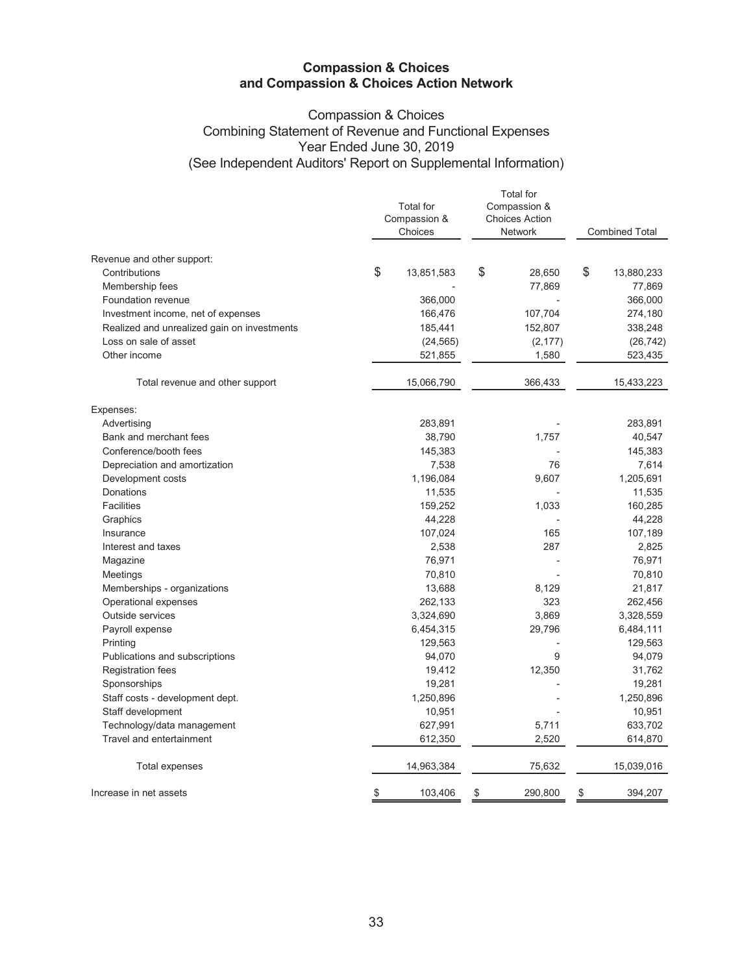# **Compassion & Choices** Combining Statement of Revenue and Functional Expenses Year Ended June 30, 2019 (See Independent Auditors' Report on Supplemental Information)

|                                             | <b>Total for</b><br>Compassion &<br>Choices | <b>Total</b> for<br>Compassion &<br><b>Choices Action</b><br>Network | <b>Combined Total</b> |            |
|---------------------------------------------|---------------------------------------------|----------------------------------------------------------------------|-----------------------|------------|
| Revenue and other support:                  |                                             |                                                                      |                       |            |
| Contributions                               | \$<br>13,851,583                            | \$<br>28,650                                                         | \$                    | 13,880,233 |
| Membership fees                             |                                             | 77,869                                                               |                       | 77,869     |
| Foundation revenue                          | 366,000                                     |                                                                      |                       | 366,000    |
| Investment income, net of expenses          | 166,476                                     | 107,704                                                              |                       | 274,180    |
| Realized and unrealized gain on investments | 185,441                                     | 152,807                                                              |                       | 338,248    |
| Loss on sale of asset                       | (24, 565)                                   | (2, 177)                                                             |                       | (26, 742)  |
| Other income                                | 521,855                                     | 1,580                                                                |                       | 523,435    |
| Total revenue and other support             | 15,066,790                                  | 366,433                                                              |                       | 15,433,223 |
| Expenses:                                   |                                             |                                                                      |                       |            |
| Advertising                                 | 283,891                                     |                                                                      |                       | 283,891    |
| Bank and merchant fees                      | 38,790                                      | 1,757                                                                |                       | 40,547     |
| Conference/booth fees                       | 145,383                                     |                                                                      |                       | 145,383    |
| Depreciation and amortization               | 7,538                                       | 76                                                                   |                       | 7,614      |
| Development costs                           | 1,196,084                                   | 9,607                                                                |                       | 1,205,691  |
| <b>Donations</b>                            | 11,535                                      |                                                                      |                       | 11,535     |
| <b>Facilities</b>                           | 159,252                                     | 1,033                                                                |                       | 160,285    |
| Graphics                                    | 44,228                                      |                                                                      |                       | 44,228     |
| Insurance                                   | 107,024                                     | 165                                                                  |                       | 107,189    |
| Interest and taxes                          | 2,538                                       | 287                                                                  |                       | 2,825      |
| Magazine                                    | 76,971                                      |                                                                      |                       | 76,971     |
| Meetings                                    | 70,810                                      |                                                                      |                       | 70,810     |
| Memberships - organizations                 | 13,688                                      | 8,129                                                                |                       | 21,817     |
| Operational expenses                        | 262,133                                     | 323                                                                  |                       | 262,456    |
| Outside services                            | 3,324,690                                   | 3,869                                                                |                       | 3,328,559  |
| Payroll expense                             | 6,454,315                                   | 29,796                                                               |                       | 6,484,111  |
| Printing                                    | 129,563                                     |                                                                      |                       | 129,563    |
| Publications and subscriptions              | 94,070                                      | 9                                                                    |                       | 94,079     |
| <b>Registration fees</b>                    | 19,412                                      | 12,350                                                               |                       | 31,762     |
| Sponsorships                                | 19,281                                      |                                                                      |                       | 19,281     |
| Staff costs - development dept.             | 1,250,896                                   |                                                                      |                       | 1,250,896  |
| Staff development                           | 10,951                                      |                                                                      |                       | 10,951     |
| Technology/data management                  | 627,991                                     | 5,711                                                                |                       | 633,702    |
| Travel and entertainment                    | 612,350                                     | 2,520                                                                |                       | 614,870    |
| <b>Total expenses</b>                       | 14,963,384                                  | 75,632                                                               |                       | 15,039,016 |
| Increase in net assets                      | \$<br>103,406                               | \$<br>290,800                                                        | \$                    | 394,207    |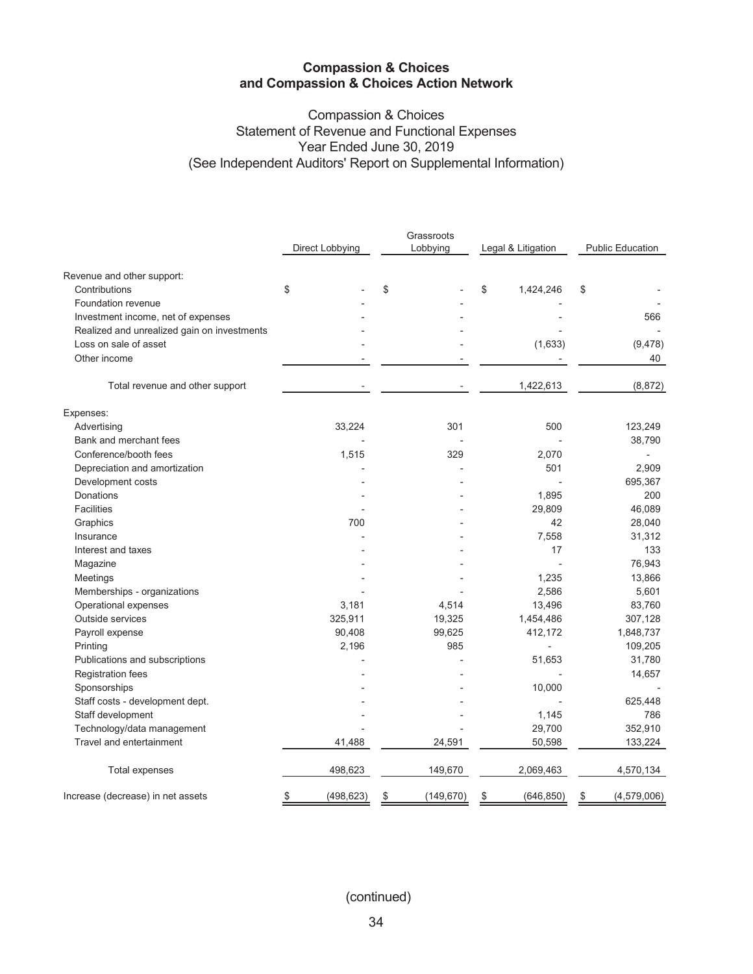# **Compassion & Choices** Statement of Revenue and Functional Expenses Year Ended June 30, 2019 (See Independent Auditors' Report on Supplemental Information)

| Direct Lobbying<br>Lobbying<br>Legal & Litigation<br>Revenue and other support:<br>\$<br>\$<br>\$<br>Contributions<br>1,424,246<br>\$<br>Foundation revenue<br>Investment income, net of expenses<br>Realized and unrealized gain on investments<br>Loss on sale of asset<br>(1,633)<br>Other income<br>1,422,613<br>Total revenue and other support<br>Expenses:<br>301<br>Advertising<br>33,224<br>500 |                         |  |  |
|----------------------------------------------------------------------------------------------------------------------------------------------------------------------------------------------------------------------------------------------------------------------------------------------------------------------------------------------------------------------------------------------------------|-------------------------|--|--|
|                                                                                                                                                                                                                                                                                                                                                                                                          | <b>Public Education</b> |  |  |
|                                                                                                                                                                                                                                                                                                                                                                                                          |                         |  |  |
|                                                                                                                                                                                                                                                                                                                                                                                                          |                         |  |  |
|                                                                                                                                                                                                                                                                                                                                                                                                          |                         |  |  |
|                                                                                                                                                                                                                                                                                                                                                                                                          | 566                     |  |  |
|                                                                                                                                                                                                                                                                                                                                                                                                          |                         |  |  |
|                                                                                                                                                                                                                                                                                                                                                                                                          | (9, 478)                |  |  |
|                                                                                                                                                                                                                                                                                                                                                                                                          | 40                      |  |  |
|                                                                                                                                                                                                                                                                                                                                                                                                          |                         |  |  |
|                                                                                                                                                                                                                                                                                                                                                                                                          | (8, 872)                |  |  |
|                                                                                                                                                                                                                                                                                                                                                                                                          |                         |  |  |
|                                                                                                                                                                                                                                                                                                                                                                                                          | 123,249                 |  |  |
| Bank and merchant fees                                                                                                                                                                                                                                                                                                                                                                                   | 38,790                  |  |  |
| Conference/booth fees<br>1,515<br>329<br>2,070                                                                                                                                                                                                                                                                                                                                                           |                         |  |  |
| 501<br>Depreciation and amortization                                                                                                                                                                                                                                                                                                                                                                     | 2,909                   |  |  |
| Development costs                                                                                                                                                                                                                                                                                                                                                                                        | 695,367                 |  |  |
| Donations<br>1,895                                                                                                                                                                                                                                                                                                                                                                                       | 200                     |  |  |
| <b>Facilities</b><br>29,809                                                                                                                                                                                                                                                                                                                                                                              | 46,089                  |  |  |
| 700<br>42<br>Graphics                                                                                                                                                                                                                                                                                                                                                                                    | 28,040                  |  |  |
| 7,558<br>Insurance                                                                                                                                                                                                                                                                                                                                                                                       | 31,312                  |  |  |
| Interest and taxes<br>17                                                                                                                                                                                                                                                                                                                                                                                 | 133                     |  |  |
| Magazine                                                                                                                                                                                                                                                                                                                                                                                                 | 76,943                  |  |  |
| 1,235<br>Meetings                                                                                                                                                                                                                                                                                                                                                                                        | 13,866                  |  |  |
| Memberships - organizations<br>2,586                                                                                                                                                                                                                                                                                                                                                                     | 5,601                   |  |  |
| 3,181<br>13,496<br>Operational expenses<br>4,514                                                                                                                                                                                                                                                                                                                                                         | 83,760                  |  |  |
| Outside services<br>325,911<br>19,325<br>1,454,486                                                                                                                                                                                                                                                                                                                                                       | 307,128                 |  |  |
| Payroll expense<br>90,408<br>99,625<br>412,172                                                                                                                                                                                                                                                                                                                                                           | 1,848,737               |  |  |
| 985<br>2,196<br>Printing                                                                                                                                                                                                                                                                                                                                                                                 | 109,205                 |  |  |
| Publications and subscriptions<br>51,653                                                                                                                                                                                                                                                                                                                                                                 | 31,780                  |  |  |
| <b>Registration fees</b>                                                                                                                                                                                                                                                                                                                                                                                 | 14,657                  |  |  |
| 10,000<br>Sponsorships                                                                                                                                                                                                                                                                                                                                                                                   |                         |  |  |
| Staff costs - development dept.                                                                                                                                                                                                                                                                                                                                                                          | 625,448                 |  |  |
| Staff development<br>1,145                                                                                                                                                                                                                                                                                                                                                                               | 786                     |  |  |
| Technology/data management<br>29,700                                                                                                                                                                                                                                                                                                                                                                     | 352,910                 |  |  |
| Travel and entertainment<br>41,488<br>24,591<br>50,598                                                                                                                                                                                                                                                                                                                                                   | 133,224                 |  |  |
| <b>Total expenses</b><br>498,623<br>149,670<br>2,069,463                                                                                                                                                                                                                                                                                                                                                 | 4,570,134               |  |  |
| Increase (decrease) in net assets<br>(498, 623)<br>(149, 670)<br>(646, 850)<br>\$<br>\$<br>$\frac{3}{2}$<br>\$                                                                                                                                                                                                                                                                                           | (4, 579, 006)           |  |  |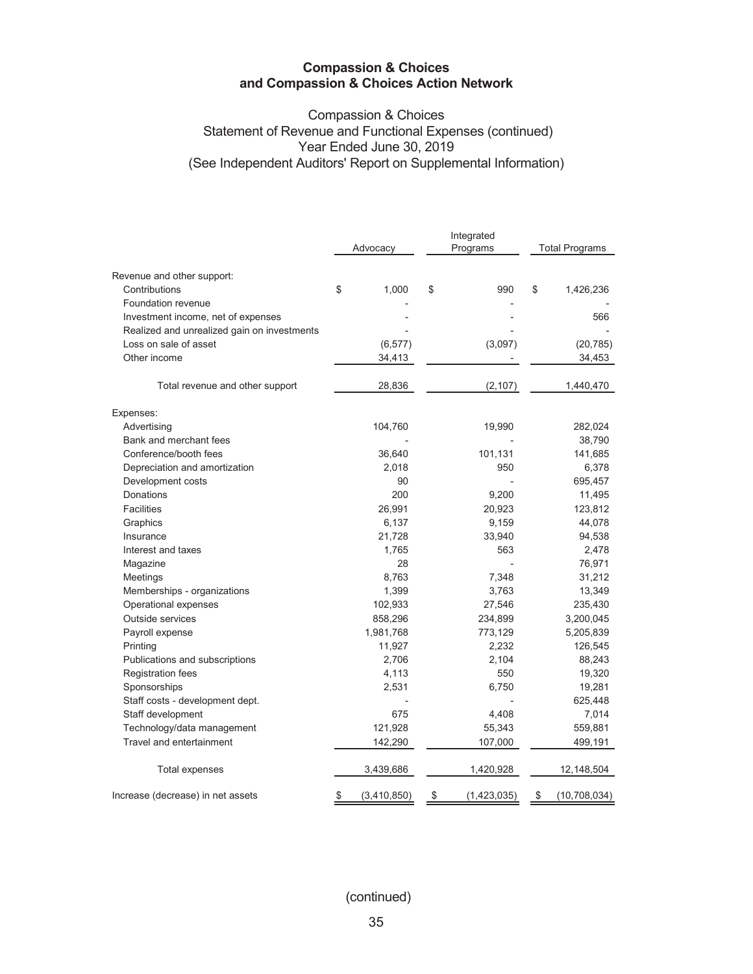# **Compassion & Choices** Statement of Revenue and Functional Expenses (continued) Year Ended June 30, 2019 (See Independent Auditors' Report on Supplemental Information)

|                                             | Advocacy          | Integrated<br>Programs | <b>Total Programs</b> |              |  |
|---------------------------------------------|-------------------|------------------------|-----------------------|--------------|--|
| Revenue and other support:                  |                   |                        |                       |              |  |
| Contributions                               | \$<br>1,000       | \$<br>990              | \$                    | 1,426,236    |  |
| Foundation revenue                          |                   |                        |                       |              |  |
| Investment income, net of expenses          |                   |                        |                       | 566          |  |
| Realized and unrealized gain on investments |                   |                        |                       |              |  |
| Loss on sale of asset                       | (6, 577)          | (3,097)                |                       | (20, 785)    |  |
| Other income                                | 34,413            |                        |                       | 34,453       |  |
| Total revenue and other support             | 28,836            | (2, 107)               |                       | 1,440,470    |  |
| Expenses:                                   |                   |                        |                       |              |  |
| Advertising                                 | 104,760           | 19,990                 |                       | 282,024      |  |
| Bank and merchant fees                      |                   |                        |                       | 38,790       |  |
| Conference/booth fees                       | 36,640            | 101,131                |                       | 141,685      |  |
| Depreciation and amortization               | 2,018             | 950                    |                       | 6,378        |  |
| Development costs                           | 90                |                        |                       | 695,457      |  |
| <b>Donations</b>                            | 200               | 9,200                  |                       | 11,495       |  |
| <b>Facilities</b>                           | 26,991            | 20,923                 |                       | 123,812      |  |
| Graphics                                    | 6,137             | 9,159                  |                       | 44,078       |  |
| Insurance                                   | 21,728            | 33,940                 |                       | 94,538       |  |
| Interest and taxes                          | 1,765             | 563                    |                       | 2,478        |  |
| Magazine                                    | 28                |                        |                       | 76,971       |  |
| Meetings                                    | 8,763             | 7,348                  |                       | 31,212       |  |
| Memberships - organizations                 | 1,399             | 3,763                  |                       | 13,349       |  |
| Operational expenses                        | 102,933           | 27,546                 |                       | 235,430      |  |
| Outside services                            | 858,296           | 234,899                |                       | 3,200,045    |  |
| Payroll expense                             | 1,981,768         | 773,129                |                       | 5,205,839    |  |
| Printing                                    | 11,927            | 2,232                  |                       | 126,545      |  |
| Publications and subscriptions              | 2,706             | 2,104                  |                       | 88,243       |  |
| <b>Registration fees</b>                    | 4,113             | 550                    |                       | 19,320       |  |
| Sponsorships                                | 2,531             | 6,750                  |                       | 19,281       |  |
| Staff costs - development dept.             |                   |                        |                       | 625,448      |  |
| Staff development                           | 675               | 4,408                  |                       | 7,014        |  |
| Technology/data management                  | 121,928           | 55,343                 |                       | 559,881      |  |
| Travel and entertainment                    | 142,290           | 107,000                |                       | 499,191      |  |
| Total expenses                              | 3,439,686         | 1,420,928              |                       | 12,148,504   |  |
| Increase (decrease) in net assets           | \$<br>(3,410,850) | \$<br>(1,423,035)      | \$                    | (10,708,034) |  |

(continued)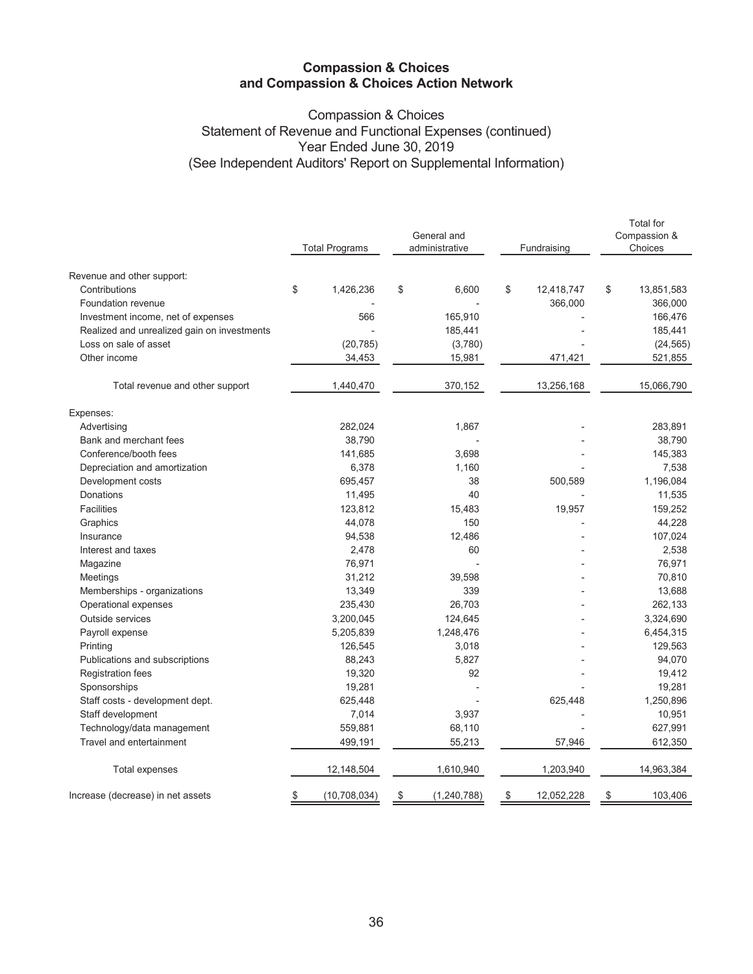# **Compassion & Choices** Statement of Revenue and Functional Expenses (continued) Year Ended June 30, 2019 (See Independent Auditors' Report on Supplemental Information)

|                                             |                       | General and         |                  | <b>Total</b> for<br>Compassion & |
|---------------------------------------------|-----------------------|---------------------|------------------|----------------------------------|
|                                             | <b>Total Programs</b> | administrative      | Fundraising      | Choices                          |
| Revenue and other support:                  |                       |                     |                  |                                  |
| Contributions                               | \$<br>1,426,236       | \$<br>6,600         | \$<br>12,418,747 | \$<br>13,851,583                 |
| Foundation revenue                          |                       |                     | 366,000          | 366,000                          |
| Investment income, net of expenses          | 566                   | 165,910             |                  | 166,476                          |
| Realized and unrealized gain on investments |                       | 185,441             |                  | 185,441                          |
| Loss on sale of asset                       | (20, 785)             | (3,780)             |                  | (24, 565)                        |
| Other income                                | 34,453                | 15,981              | 471,421          | 521,855                          |
| Total revenue and other support             | 1,440,470             | 370,152             | 13,256,168       | 15,066,790                       |
| Expenses:                                   |                       |                     |                  |                                  |
| Advertising                                 | 282,024               | 1,867               |                  | 283,891                          |
| Bank and merchant fees                      | 38,790                |                     |                  | 38,790                           |
| Conference/booth fees                       | 141,685               | 3,698               |                  | 145,383                          |
| Depreciation and amortization               | 6,378                 | 1,160               |                  | 7,538                            |
| Development costs                           | 695,457               | 38                  | 500,589          | 1,196,084                        |
| Donations                                   | 11,495                | 40                  |                  | 11,535                           |
| <b>Facilities</b>                           | 123,812               | 15,483              | 19,957           | 159,252                          |
| Graphics                                    | 44,078                | 150                 |                  | 44,228                           |
| Insurance                                   | 94,538                | 12,486              |                  | 107,024                          |
| Interest and taxes                          | 2,478                 | 60                  |                  | 2,538                            |
| Magazine                                    | 76,971                |                     |                  | 76,971                           |
| Meetings                                    | 31,212                | 39,598              |                  | 70,810                           |
| Memberships - organizations                 | 13,349                | 339                 |                  | 13,688                           |
| Operational expenses                        | 235,430               | 26,703              |                  | 262,133                          |
| Outside services                            | 3,200,045             | 124,645             |                  | 3,324,690                        |
| Payroll expense                             | 5,205,839             | 1,248,476           |                  | 6,454,315                        |
| Printing                                    | 126,545               | 3,018               |                  | 129,563                          |
| Publications and subscriptions              | 88,243                | 5,827               |                  | 94,070                           |
| <b>Registration fees</b>                    | 19,320                | 92                  |                  | 19,412                           |
| Sponsorships                                | 19,281                |                     |                  | 19,281                           |
| Staff costs - development dept.             | 625,448               |                     | 625,448          | 1,250,896                        |
| Staff development                           | 7,014                 | 3,937               |                  | 10,951                           |
| Technology/data management                  | 559,881               | 68,110              |                  | 627,991                          |
| Travel and entertainment                    | 499,191               | 55,213              | 57,946           | 612,350                          |
| Total expenses                              | 12,148,504            | 1,610,940           | 1,203,940        | 14,963,384                       |
| Increase (decrease) in net assets           | \$<br>(10, 708, 034)  | \$<br>(1, 240, 788) | \$<br>12,052,228 | \$<br>103,406                    |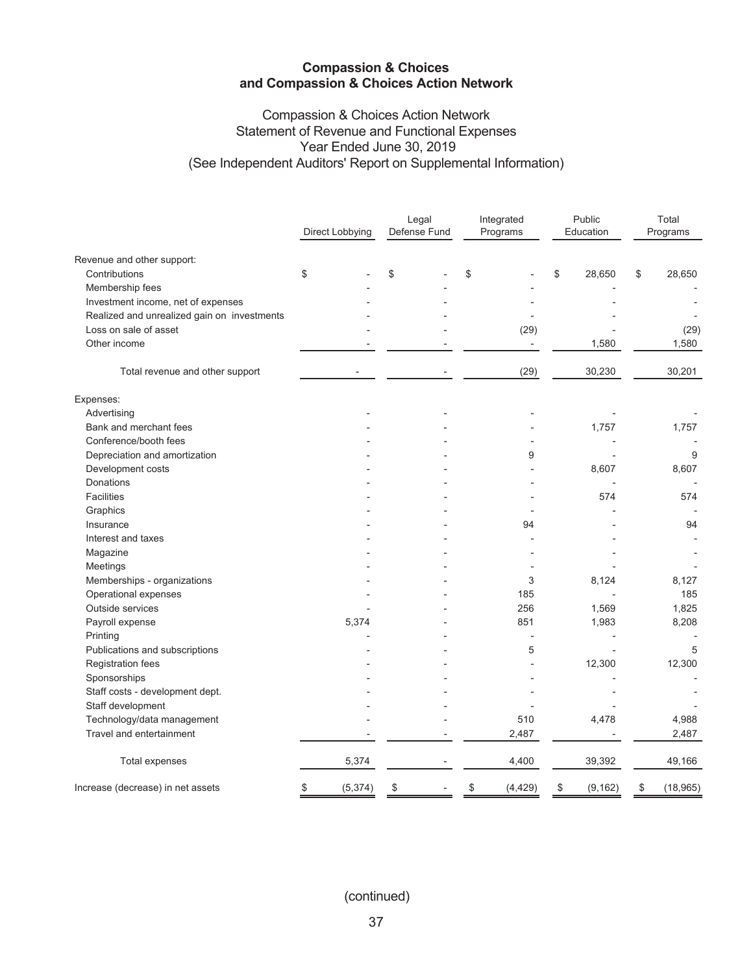# **Compassion & Choices Action Network** Statement of Revenue and Functional Expenses Year Ended June 30, 2019 (See Independent Auditors' Report on Supplemental Information)

| Direct Lobbying<br>Defense Fund<br>Programs<br>Education<br>Programs<br>Revenue and other support:<br>\$<br>Contributions<br>\$<br>\$<br>\$<br>28,650<br>28,650<br>\$<br>Membership fees<br>Investment income, net of expenses<br>Realized and unrealized gain on investments<br>Loss on sale of asset<br>(29)<br>(29)<br>Other income<br>1,580<br>1,580<br>$\overline{\phantom{m}}$<br>(29)<br>30,230<br>30,201<br>Total revenue and other support<br>Expenses:<br>Advertising<br>Bank and merchant fees<br>1,757<br>1,757<br>Conference/booth fees<br>Depreciation and amortization<br>9<br>9<br>Development costs<br>8,607<br>8,607<br>Donations<br><b>Facilities</b><br>574<br>Graphics<br>94<br>Insurance<br>94<br>Interest and taxes<br>Magazine<br>Meetings<br>Memberships - organizations<br>3<br>8,124<br>Operational expenses<br>185<br>Outside services<br>256<br>1,569<br>Payroll expense<br>5,374<br>851<br>1,983<br>8,208<br>Printing<br>5<br>5<br>Publications and subscriptions<br>12,300<br>Registration fees<br>12,300<br>Sponsorships<br>Staff costs - development dept.<br>Staff development<br>Technology/data management<br>510<br>4,478<br>4,988<br>Travel and entertainment<br>2,487<br>2,487<br>5,374<br>4,400<br>39,392<br>Total expenses<br>(5, 374)<br>\$<br>Increase (decrease) in net assets<br>\$<br>(4, 429)<br>\$<br>(9, 162)<br>\$<br>\$ |  | Legal | Integrated | Public | Total |           |  |
|----------------------------------------------------------------------------------------------------------------------------------------------------------------------------------------------------------------------------------------------------------------------------------------------------------------------------------------------------------------------------------------------------------------------------------------------------------------------------------------------------------------------------------------------------------------------------------------------------------------------------------------------------------------------------------------------------------------------------------------------------------------------------------------------------------------------------------------------------------------------------------------------------------------------------------------------------------------------------------------------------------------------------------------------------------------------------------------------------------------------------------------------------------------------------------------------------------------------------------------------------------------------------------------------------------------------------------------------------------------------------|--|-------|------------|--------|-------|-----------|--|
|                                                                                                                                                                                                                                                                                                                                                                                                                                                                                                                                                                                                                                                                                                                                                                                                                                                                                                                                                                                                                                                                                                                                                                                                                                                                                                                                                                            |  |       |            |        |       |           |  |
|                                                                                                                                                                                                                                                                                                                                                                                                                                                                                                                                                                                                                                                                                                                                                                                                                                                                                                                                                                                                                                                                                                                                                                                                                                                                                                                                                                            |  |       |            |        |       |           |  |
|                                                                                                                                                                                                                                                                                                                                                                                                                                                                                                                                                                                                                                                                                                                                                                                                                                                                                                                                                                                                                                                                                                                                                                                                                                                                                                                                                                            |  |       |            |        |       |           |  |
|                                                                                                                                                                                                                                                                                                                                                                                                                                                                                                                                                                                                                                                                                                                                                                                                                                                                                                                                                                                                                                                                                                                                                                                                                                                                                                                                                                            |  |       |            |        |       |           |  |
|                                                                                                                                                                                                                                                                                                                                                                                                                                                                                                                                                                                                                                                                                                                                                                                                                                                                                                                                                                                                                                                                                                                                                                                                                                                                                                                                                                            |  |       |            |        |       |           |  |
|                                                                                                                                                                                                                                                                                                                                                                                                                                                                                                                                                                                                                                                                                                                                                                                                                                                                                                                                                                                                                                                                                                                                                                                                                                                                                                                                                                            |  |       |            |        |       |           |  |
|                                                                                                                                                                                                                                                                                                                                                                                                                                                                                                                                                                                                                                                                                                                                                                                                                                                                                                                                                                                                                                                                                                                                                                                                                                                                                                                                                                            |  |       |            |        |       |           |  |
|                                                                                                                                                                                                                                                                                                                                                                                                                                                                                                                                                                                                                                                                                                                                                                                                                                                                                                                                                                                                                                                                                                                                                                                                                                                                                                                                                                            |  |       |            |        |       |           |  |
|                                                                                                                                                                                                                                                                                                                                                                                                                                                                                                                                                                                                                                                                                                                                                                                                                                                                                                                                                                                                                                                                                                                                                                                                                                                                                                                                                                            |  |       |            |        |       |           |  |
|                                                                                                                                                                                                                                                                                                                                                                                                                                                                                                                                                                                                                                                                                                                                                                                                                                                                                                                                                                                                                                                                                                                                                                                                                                                                                                                                                                            |  |       |            |        |       |           |  |
|                                                                                                                                                                                                                                                                                                                                                                                                                                                                                                                                                                                                                                                                                                                                                                                                                                                                                                                                                                                                                                                                                                                                                                                                                                                                                                                                                                            |  |       |            |        |       |           |  |
|                                                                                                                                                                                                                                                                                                                                                                                                                                                                                                                                                                                                                                                                                                                                                                                                                                                                                                                                                                                                                                                                                                                                                                                                                                                                                                                                                                            |  |       |            |        |       |           |  |
|                                                                                                                                                                                                                                                                                                                                                                                                                                                                                                                                                                                                                                                                                                                                                                                                                                                                                                                                                                                                                                                                                                                                                                                                                                                                                                                                                                            |  |       |            |        |       |           |  |
|                                                                                                                                                                                                                                                                                                                                                                                                                                                                                                                                                                                                                                                                                                                                                                                                                                                                                                                                                                                                                                                                                                                                                                                                                                                                                                                                                                            |  |       |            |        |       |           |  |
|                                                                                                                                                                                                                                                                                                                                                                                                                                                                                                                                                                                                                                                                                                                                                                                                                                                                                                                                                                                                                                                                                                                                                                                                                                                                                                                                                                            |  |       |            |        |       |           |  |
|                                                                                                                                                                                                                                                                                                                                                                                                                                                                                                                                                                                                                                                                                                                                                                                                                                                                                                                                                                                                                                                                                                                                                                                                                                                                                                                                                                            |  |       |            |        |       |           |  |
|                                                                                                                                                                                                                                                                                                                                                                                                                                                                                                                                                                                                                                                                                                                                                                                                                                                                                                                                                                                                                                                                                                                                                                                                                                                                                                                                                                            |  |       |            |        |       |           |  |
|                                                                                                                                                                                                                                                                                                                                                                                                                                                                                                                                                                                                                                                                                                                                                                                                                                                                                                                                                                                                                                                                                                                                                                                                                                                                                                                                                                            |  |       |            |        |       | 574       |  |
|                                                                                                                                                                                                                                                                                                                                                                                                                                                                                                                                                                                                                                                                                                                                                                                                                                                                                                                                                                                                                                                                                                                                                                                                                                                                                                                                                                            |  |       |            |        |       |           |  |
|                                                                                                                                                                                                                                                                                                                                                                                                                                                                                                                                                                                                                                                                                                                                                                                                                                                                                                                                                                                                                                                                                                                                                                                                                                                                                                                                                                            |  |       |            |        |       |           |  |
|                                                                                                                                                                                                                                                                                                                                                                                                                                                                                                                                                                                                                                                                                                                                                                                                                                                                                                                                                                                                                                                                                                                                                                                                                                                                                                                                                                            |  |       |            |        |       |           |  |
|                                                                                                                                                                                                                                                                                                                                                                                                                                                                                                                                                                                                                                                                                                                                                                                                                                                                                                                                                                                                                                                                                                                                                                                                                                                                                                                                                                            |  |       |            |        |       |           |  |
|                                                                                                                                                                                                                                                                                                                                                                                                                                                                                                                                                                                                                                                                                                                                                                                                                                                                                                                                                                                                                                                                                                                                                                                                                                                                                                                                                                            |  |       |            |        |       |           |  |
|                                                                                                                                                                                                                                                                                                                                                                                                                                                                                                                                                                                                                                                                                                                                                                                                                                                                                                                                                                                                                                                                                                                                                                                                                                                                                                                                                                            |  |       |            |        |       | 8,127     |  |
|                                                                                                                                                                                                                                                                                                                                                                                                                                                                                                                                                                                                                                                                                                                                                                                                                                                                                                                                                                                                                                                                                                                                                                                                                                                                                                                                                                            |  |       |            |        |       | 185       |  |
|                                                                                                                                                                                                                                                                                                                                                                                                                                                                                                                                                                                                                                                                                                                                                                                                                                                                                                                                                                                                                                                                                                                                                                                                                                                                                                                                                                            |  |       |            |        |       | 1,825     |  |
|                                                                                                                                                                                                                                                                                                                                                                                                                                                                                                                                                                                                                                                                                                                                                                                                                                                                                                                                                                                                                                                                                                                                                                                                                                                                                                                                                                            |  |       |            |        |       |           |  |
|                                                                                                                                                                                                                                                                                                                                                                                                                                                                                                                                                                                                                                                                                                                                                                                                                                                                                                                                                                                                                                                                                                                                                                                                                                                                                                                                                                            |  |       |            |        |       |           |  |
|                                                                                                                                                                                                                                                                                                                                                                                                                                                                                                                                                                                                                                                                                                                                                                                                                                                                                                                                                                                                                                                                                                                                                                                                                                                                                                                                                                            |  |       |            |        |       |           |  |
|                                                                                                                                                                                                                                                                                                                                                                                                                                                                                                                                                                                                                                                                                                                                                                                                                                                                                                                                                                                                                                                                                                                                                                                                                                                                                                                                                                            |  |       |            |        |       |           |  |
|                                                                                                                                                                                                                                                                                                                                                                                                                                                                                                                                                                                                                                                                                                                                                                                                                                                                                                                                                                                                                                                                                                                                                                                                                                                                                                                                                                            |  |       |            |        |       |           |  |
|                                                                                                                                                                                                                                                                                                                                                                                                                                                                                                                                                                                                                                                                                                                                                                                                                                                                                                                                                                                                                                                                                                                                                                                                                                                                                                                                                                            |  |       |            |        |       |           |  |
|                                                                                                                                                                                                                                                                                                                                                                                                                                                                                                                                                                                                                                                                                                                                                                                                                                                                                                                                                                                                                                                                                                                                                                                                                                                                                                                                                                            |  |       |            |        |       |           |  |
|                                                                                                                                                                                                                                                                                                                                                                                                                                                                                                                                                                                                                                                                                                                                                                                                                                                                                                                                                                                                                                                                                                                                                                                                                                                                                                                                                                            |  |       |            |        |       |           |  |
|                                                                                                                                                                                                                                                                                                                                                                                                                                                                                                                                                                                                                                                                                                                                                                                                                                                                                                                                                                                                                                                                                                                                                                                                                                                                                                                                                                            |  |       |            |        |       |           |  |
|                                                                                                                                                                                                                                                                                                                                                                                                                                                                                                                                                                                                                                                                                                                                                                                                                                                                                                                                                                                                                                                                                                                                                                                                                                                                                                                                                                            |  |       |            |        |       | 49,166    |  |
|                                                                                                                                                                                                                                                                                                                                                                                                                                                                                                                                                                                                                                                                                                                                                                                                                                                                                                                                                                                                                                                                                                                                                                                                                                                                                                                                                                            |  |       |            |        |       | (18, 965) |  |

(continued)